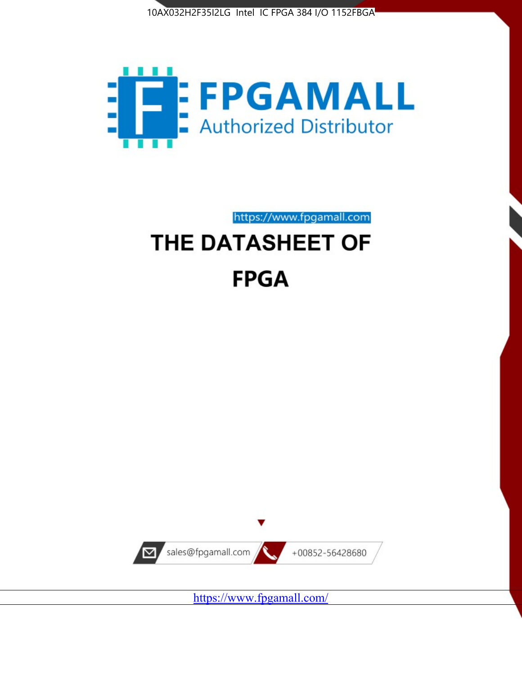



https://www.fpgamall.com THE DATASHEET OF

# **FPGA**



<https://www.fpgamall.com/>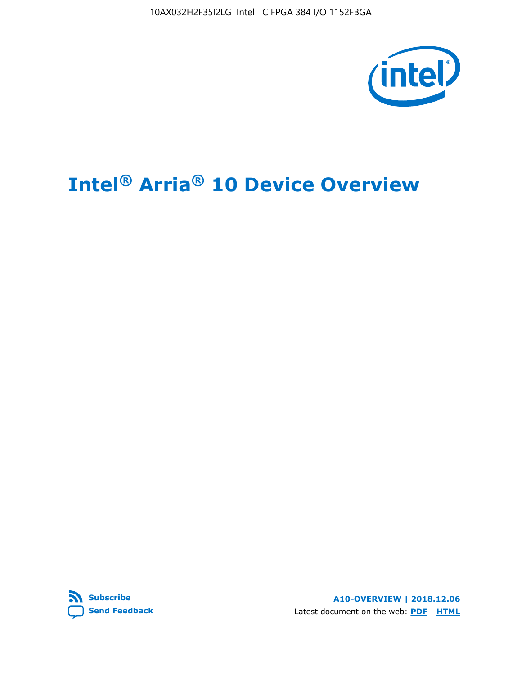

## **Intel® Arria® 10 Device Overview**



**A10-OVERVIEW | 2018.12.06** Latest document on the web: **[PDF](https://www.intel.com/content/dam/www/programmable/us/en/pdfs/literature/hb/arria-10/a10_overview.pdf)** | **[HTML](https://www.intel.com/content/www/us/en/programmable/documentation/sam1403480274650.html)**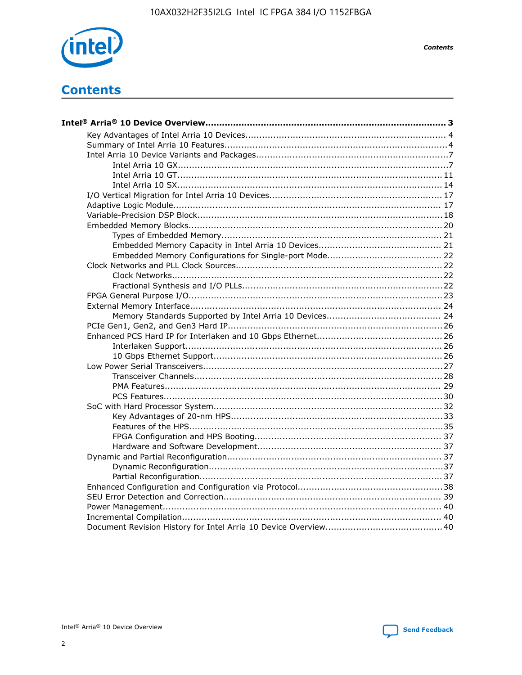

**Contents** 

## **Contents**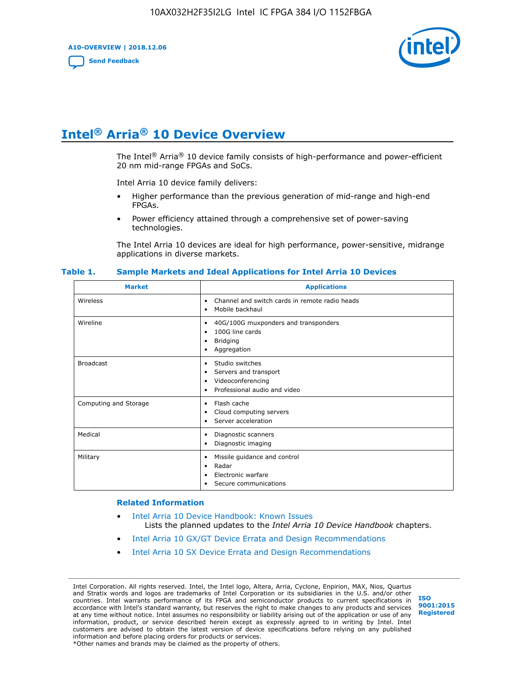**A10-OVERVIEW | 2018.12.06**

**[Send Feedback](mailto:FPGAtechdocfeedback@intel.com?subject=Feedback%20on%20Intel%20Arria%2010%20Device%20Overview%20(A10-OVERVIEW%202018.12.06)&body=We%20appreciate%20your%20feedback.%20In%20your%20comments,%20also%20specify%20the%20page%20number%20or%20paragraph.%20Thank%20you.)**



## **Intel® Arria® 10 Device Overview**

The Intel<sup>®</sup> Arria<sup>®</sup> 10 device family consists of high-performance and power-efficient 20 nm mid-range FPGAs and SoCs.

Intel Arria 10 device family delivers:

- Higher performance than the previous generation of mid-range and high-end FPGAs.
- Power efficiency attained through a comprehensive set of power-saving technologies.

The Intel Arria 10 devices are ideal for high performance, power-sensitive, midrange applications in diverse markets.

| <b>Market</b>         | <b>Applications</b>                                                                                               |
|-----------------------|-------------------------------------------------------------------------------------------------------------------|
| Wireless              | Channel and switch cards in remote radio heads<br>٠<br>Mobile backhaul<br>٠                                       |
| Wireline              | 40G/100G muxponders and transponders<br>٠<br>100G line cards<br>٠<br><b>Bridging</b><br>٠<br>Aggregation<br>٠     |
| <b>Broadcast</b>      | Studio switches<br>٠<br>Servers and transport<br>٠<br>Videoconferencing<br>٠<br>Professional audio and video<br>٠ |
| Computing and Storage | Flash cache<br>٠<br>Cloud computing servers<br>٠<br>Server acceleration<br>٠                                      |
| Medical               | Diagnostic scanners<br>٠<br>Diagnostic imaging<br>٠                                                               |
| Military              | Missile guidance and control<br>٠<br>Radar<br>٠<br>Electronic warfare<br>٠<br>Secure communications<br>٠          |

#### **Table 1. Sample Markets and Ideal Applications for Intel Arria 10 Devices**

#### **Related Information**

- [Intel Arria 10 Device Handbook: Known Issues](http://www.altera.com/support/kdb/solutions/rd07302013_646.html) Lists the planned updates to the *Intel Arria 10 Device Handbook* chapters.
- [Intel Arria 10 GX/GT Device Errata and Design Recommendations](https://www.intel.com/content/www/us/en/programmable/documentation/agz1493851706374.html#yqz1494433888646)
- [Intel Arria 10 SX Device Errata and Design Recommendations](https://www.intel.com/content/www/us/en/programmable/documentation/cru1462832385668.html#cru1462832558642)

Intel Corporation. All rights reserved. Intel, the Intel logo, Altera, Arria, Cyclone, Enpirion, MAX, Nios, Quartus and Stratix words and logos are trademarks of Intel Corporation or its subsidiaries in the U.S. and/or other countries. Intel warrants performance of its FPGA and semiconductor products to current specifications in accordance with Intel's standard warranty, but reserves the right to make changes to any products and services at any time without notice. Intel assumes no responsibility or liability arising out of the application or use of any information, product, or service described herein except as expressly agreed to in writing by Intel. Intel customers are advised to obtain the latest version of device specifications before relying on any published information and before placing orders for products or services. \*Other names and brands may be claimed as the property of others.

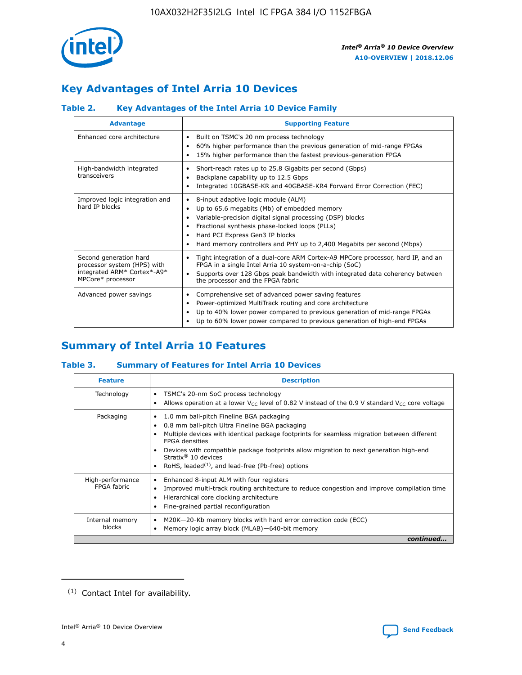

## **Key Advantages of Intel Arria 10 Devices**

#### **Table 2. Key Advantages of the Intel Arria 10 Device Family**

| <b>Advantage</b>                                                                                          | <b>Supporting Feature</b>                                                                                                                                                                                                                                                                                                |
|-----------------------------------------------------------------------------------------------------------|--------------------------------------------------------------------------------------------------------------------------------------------------------------------------------------------------------------------------------------------------------------------------------------------------------------------------|
| Enhanced core architecture                                                                                | Built on TSMC's 20 nm process technology<br>٠<br>60% higher performance than the previous generation of mid-range FPGAs<br>٠<br>15% higher performance than the fastest previous-generation FPGA<br>٠                                                                                                                    |
| High-bandwidth integrated<br>transceivers                                                                 | Short-reach rates up to 25.8 Gigabits per second (Gbps)<br>٠<br>Backplane capability up to 12.5 Gbps<br>٠<br>Integrated 10GBASE-KR and 40GBASE-KR4 Forward Error Correction (FEC)<br>٠                                                                                                                                   |
| Improved logic integration and<br>hard IP blocks                                                          | 8-input adaptive logic module (ALM)<br>٠<br>Up to 65.6 megabits (Mb) of embedded memory<br>٠<br>Variable-precision digital signal processing (DSP) blocks<br>Fractional synthesis phase-locked loops (PLLs)<br>Hard PCI Express Gen3 IP blocks<br>Hard memory controllers and PHY up to 2,400 Megabits per second (Mbps) |
| Second generation hard<br>processor system (HPS) with<br>integrated ARM* Cortex*-A9*<br>MPCore* processor | Tight integration of a dual-core ARM Cortex-A9 MPCore processor, hard IP, and an<br>٠<br>FPGA in a single Intel Arria 10 system-on-a-chip (SoC)<br>Supports over 128 Gbps peak bandwidth with integrated data coherency between<br>$\bullet$<br>the processor and the FPGA fabric                                        |
| Advanced power savings                                                                                    | Comprehensive set of advanced power saving features<br>٠<br>Power-optimized MultiTrack routing and core architecture<br>٠<br>Up to 40% lower power compared to previous generation of mid-range FPGAs<br>Up to 60% lower power compared to previous generation of high-end FPGAs                                         |

## **Summary of Intel Arria 10 Features**

#### **Table 3. Summary of Features for Intel Arria 10 Devices**

| <b>Feature</b>                  | <b>Description</b>                                                                                                                                                                                                                                                                                                                                                                                 |
|---------------------------------|----------------------------------------------------------------------------------------------------------------------------------------------------------------------------------------------------------------------------------------------------------------------------------------------------------------------------------------------------------------------------------------------------|
| Technology                      | TSMC's 20-nm SoC process technology<br>Allows operation at a lower $V_{\text{CC}}$ level of 0.82 V instead of the 0.9 V standard $V_{\text{CC}}$ core voltage                                                                                                                                                                                                                                      |
| Packaging                       | 1.0 mm ball-pitch Fineline BGA packaging<br>٠<br>0.8 mm ball-pitch Ultra Fineline BGA packaging<br>Multiple devices with identical package footprints for seamless migration between different<br><b>FPGA</b> densities<br>Devices with compatible package footprints allow migration to next generation high-end<br>Stratix $@10$ devices<br>RoHS, leaded $(1)$ , and lead-free (Pb-free) options |
| High-performance<br>FPGA fabric | Enhanced 8-input ALM with four registers<br>Improved multi-track routing architecture to reduce congestion and improve compilation time<br>Hierarchical core clocking architecture<br>Fine-grained partial reconfiguration                                                                                                                                                                         |
| Internal memory<br>blocks       | M20K-20-Kb memory blocks with hard error correction code (ECC)<br>Memory logic array block (MLAB)-640-bit memory                                                                                                                                                                                                                                                                                   |
|                                 | continued                                                                                                                                                                                                                                                                                                                                                                                          |



<sup>(1)</sup> Contact Intel for availability.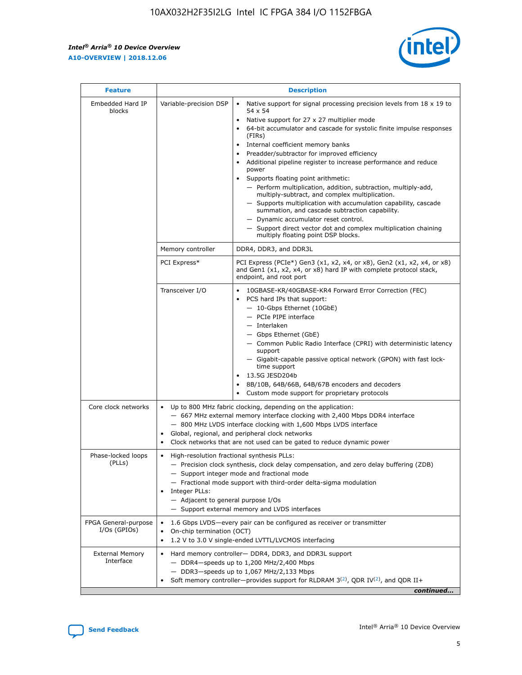r



| <b>Feature</b>                         |                                                                                                                | <b>Description</b>                                                                                                                                                                                                                                                                                                                                                                                                                                                                                                                                                                                                                                                                                                                                                                                                                     |
|----------------------------------------|----------------------------------------------------------------------------------------------------------------|----------------------------------------------------------------------------------------------------------------------------------------------------------------------------------------------------------------------------------------------------------------------------------------------------------------------------------------------------------------------------------------------------------------------------------------------------------------------------------------------------------------------------------------------------------------------------------------------------------------------------------------------------------------------------------------------------------------------------------------------------------------------------------------------------------------------------------------|
| Embedded Hard IP<br>blocks             | Variable-precision DSP                                                                                         | Native support for signal processing precision levels from $18 \times 19$ to<br>54 x 54<br>Native support for 27 x 27 multiplier mode<br>64-bit accumulator and cascade for systolic finite impulse responses<br>(FIRs)<br>Internal coefficient memory banks<br>$\bullet$<br>Preadder/subtractor for improved efficiency<br>Additional pipeline register to increase performance and reduce<br>power<br>Supports floating point arithmetic:<br>- Perform multiplication, addition, subtraction, multiply-add,<br>multiply-subtract, and complex multiplication.<br>- Supports multiplication with accumulation capability, cascade<br>summation, and cascade subtraction capability.<br>- Dynamic accumulator reset control.<br>- Support direct vector dot and complex multiplication chaining<br>multiply floating point DSP blocks. |
|                                        | Memory controller                                                                                              | DDR4, DDR3, and DDR3L                                                                                                                                                                                                                                                                                                                                                                                                                                                                                                                                                                                                                                                                                                                                                                                                                  |
|                                        | PCI Express*                                                                                                   | PCI Express (PCIe*) Gen3 (x1, x2, x4, or x8), Gen2 (x1, x2, x4, or x8)<br>and Gen1 (x1, x2, x4, or x8) hard IP with complete protocol stack,<br>endpoint, and root port                                                                                                                                                                                                                                                                                                                                                                                                                                                                                                                                                                                                                                                                |
|                                        | Transceiver I/O                                                                                                | 10GBASE-KR/40GBASE-KR4 Forward Error Correction (FEC)<br>PCS hard IPs that support:<br>$\bullet$<br>- 10-Gbps Ethernet (10GbE)<br>- PCIe PIPE interface<br>$-$ Interlaken<br>- Gbps Ethernet (GbE)<br>- Common Public Radio Interface (CPRI) with deterministic latency<br>support<br>- Gigabit-capable passive optical network (GPON) with fast lock-<br>time support<br>13.5G JESD204b<br>$\bullet$<br>8B/10B, 64B/66B, 64B/67B encoders and decoders<br>Custom mode support for proprietary protocols                                                                                                                                                                                                                                                                                                                               |
| Core clock networks                    | $\bullet$<br>$\bullet$                                                                                         | Up to 800 MHz fabric clocking, depending on the application:<br>- 667 MHz external memory interface clocking with 2,400 Mbps DDR4 interface<br>- 800 MHz LVDS interface clocking with 1,600 Mbps LVDS interface<br>Global, regional, and peripheral clock networks<br>Clock networks that are not used can be gated to reduce dynamic power                                                                                                                                                                                                                                                                                                                                                                                                                                                                                            |
| Phase-locked loops<br>(PLLs)           | High-resolution fractional synthesis PLLs:<br>$\bullet$<br>Integer PLLs:<br>- Adjacent to general purpose I/Os | - Precision clock synthesis, clock delay compensation, and zero delay buffering (ZDB)<br>- Support integer mode and fractional mode<br>- Fractional mode support with third-order delta-sigma modulation<br>- Support external memory and LVDS interfaces                                                                                                                                                                                                                                                                                                                                                                                                                                                                                                                                                                              |
| FPGA General-purpose<br>$I/Os$ (GPIOs) | On-chip termination (OCT)                                                                                      | 1.6 Gbps LVDS-every pair can be configured as receiver or transmitter<br>1.2 V to 3.0 V single-ended LVTTL/LVCMOS interfacing                                                                                                                                                                                                                                                                                                                                                                                                                                                                                                                                                                                                                                                                                                          |
| <b>External Memory</b><br>Interface    |                                                                                                                | Hard memory controller- DDR4, DDR3, and DDR3L support<br>$-$ DDR4 $-$ speeds up to 1,200 MHz/2,400 Mbps<br>- DDR3-speeds up to 1,067 MHz/2,133 Mbps<br>Soft memory controller—provides support for RLDRAM $3^{(2)}$ , QDR IV $^{(2)}$ , and QDR II+<br>continued                                                                                                                                                                                                                                                                                                                                                                                                                                                                                                                                                                       |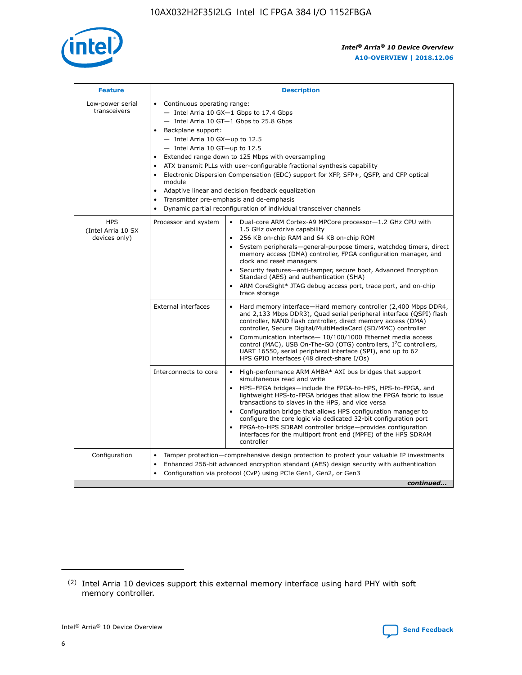

| <b>Feature</b>                                    | <b>Description</b>                                                                                                                                                                                                                                                                                                                                                                                                                                                                                                                                                                                                                                                 |
|---------------------------------------------------|--------------------------------------------------------------------------------------------------------------------------------------------------------------------------------------------------------------------------------------------------------------------------------------------------------------------------------------------------------------------------------------------------------------------------------------------------------------------------------------------------------------------------------------------------------------------------------------------------------------------------------------------------------------------|
| Low-power serial<br>transceivers                  | • Continuous operating range:<br>- Intel Arria 10 GX-1 Gbps to 17.4 Gbps<br>- Intel Arria 10 GT-1 Gbps to 25.8 Gbps<br>Backplane support:<br>$-$ Intel Arria 10 GX-up to 12.5<br>- Intel Arria 10 GT-up to 12.5<br>Extended range down to 125 Mbps with oversampling<br>ATX transmit PLLs with user-configurable fractional synthesis capability<br>$\bullet$<br>Electronic Dispersion Compensation (EDC) support for XFP, SFP+, OSFP, and CFP optical<br>module<br>Adaptive linear and decision feedback equalization<br>$\bullet$<br>Transmitter pre-emphasis and de-emphasis<br>$\bullet$<br>Dynamic partial reconfiguration of individual transceiver channels |
| <b>HPS</b><br>(Intel Arria 10 SX<br>devices only) | • Dual-core ARM Cortex-A9 MPCore processor-1.2 GHz CPU with<br>Processor and system<br>1.5 GHz overdrive capability<br>256 KB on-chip RAM and 64 KB on-chip ROM<br>$\bullet$<br>System peripherals—general-purpose timers, watchdog timers, direct<br>memory access (DMA) controller, FPGA configuration manager, and<br>clock and reset managers<br>Security features—anti-tamper, secure boot, Advanced Encryption<br>$\bullet$<br>Standard (AES) and authentication (SHA)<br>ARM CoreSight* JTAG debug access port, trace port, and on-chip<br>$\bullet$<br>trace storage                                                                                       |
|                                                   | <b>External interfaces</b><br>Hard memory interface-Hard memory controller (2,400 Mbps DDR4,<br>$\bullet$<br>and 2,133 Mbps DDR3), Quad serial peripheral interface (OSPI) flash<br>controller, NAND flash controller, direct memory access (DMA)<br>controller, Secure Digital/MultiMediaCard (SD/MMC) controller<br>Communication interface-10/100/1000 Ethernet media access<br>$\bullet$<br>control (MAC), USB On-The-GO (OTG) controllers, I <sup>2</sup> C controllers,<br>UART 16550, serial peripheral interface (SPI), and up to 62<br>HPS GPIO interfaces (48 direct-share I/Os)                                                                         |
|                                                   | Interconnects to core<br>High-performance ARM AMBA* AXI bus bridges that support<br>$\bullet$<br>simultaneous read and write<br>HPS-FPGA bridges-include the FPGA-to-HPS, HPS-to-FPGA, and<br>$\bullet$<br>lightweight HPS-to-FPGA bridges that allow the FPGA fabric to issue<br>transactions to slaves in the HPS, and vice versa<br>Configuration bridge that allows HPS configuration manager to<br>configure the core logic via dedicated 32-bit configuration port<br>FPGA-to-HPS SDRAM controller bridge-provides configuration<br>interfaces for the multiport front end (MPFE) of the HPS SDRAM<br>controller                                             |
| Configuration                                     | Tamper protection—comprehensive design protection to protect your valuable IP investments<br>Enhanced 256-bit advanced encryption standard (AES) design security with authentication<br>٠<br>Configuration via protocol (CvP) using PCIe Gen1, Gen2, or Gen3<br>continued                                                                                                                                                                                                                                                                                                                                                                                          |

<sup>(2)</sup> Intel Arria 10 devices support this external memory interface using hard PHY with soft memory controller.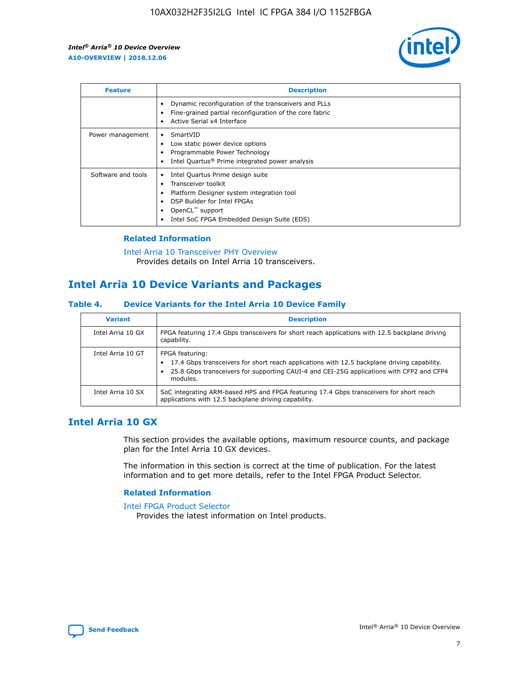

| <b>Feature</b>     | <b>Description</b>                                                                                                                                                                                               |
|--------------------|------------------------------------------------------------------------------------------------------------------------------------------------------------------------------------------------------------------|
|                    | Dynamic reconfiguration of the transceivers and PLLs<br>Fine-grained partial reconfiguration of the core fabric<br>Active Serial x4 Interface<br>$\bullet$                                                       |
| Power management   | SmartVID<br>Low static power device options<br>Programmable Power Technology<br>Intel Quartus <sup>®</sup> Prime integrated power analysis                                                                       |
| Software and tools | Intel Quartus Prime design suite<br>Transceiver toolkit<br>Platform Designer system integration tool<br>DSP Builder for Intel FPGAs<br>OpenCL <sup>™</sup> support<br>Intel SoC FPGA Embedded Design Suite (EDS) |

#### **Related Information**

[Intel Arria 10 Transceiver PHY Overview](https://www.intel.com/content/www/us/en/programmable/documentation/nik1398707230472.html#nik1398706768037) Provides details on Intel Arria 10 transceivers.

## **Intel Arria 10 Device Variants and Packages**

#### **Table 4. Device Variants for the Intel Arria 10 Device Family**

| <b>Variant</b>    | <b>Description</b>                                                                                                                                                                                                     |
|-------------------|------------------------------------------------------------------------------------------------------------------------------------------------------------------------------------------------------------------------|
| Intel Arria 10 GX | FPGA featuring 17.4 Gbps transceivers for short reach applications with 12.5 backplane driving<br>capability.                                                                                                          |
| Intel Arria 10 GT | FPGA featuring:<br>17.4 Gbps transceivers for short reach applications with 12.5 backplane driving capability.<br>25.8 Gbps transceivers for supporting CAUI-4 and CEI-25G applications with CFP2 and CFP4<br>modules. |
| Intel Arria 10 SX | SoC integrating ARM-based HPS and FPGA featuring 17.4 Gbps transceivers for short reach<br>applications with 12.5 backplane driving capability.                                                                        |

#### **Intel Arria 10 GX**

This section provides the available options, maximum resource counts, and package plan for the Intel Arria 10 GX devices.

The information in this section is correct at the time of publication. For the latest information and to get more details, refer to the Intel FPGA Product Selector.

#### **Related Information**

#### [Intel FPGA Product Selector](http://www.altera.com/products/selector/psg-selector.html) Provides the latest information on Intel products.

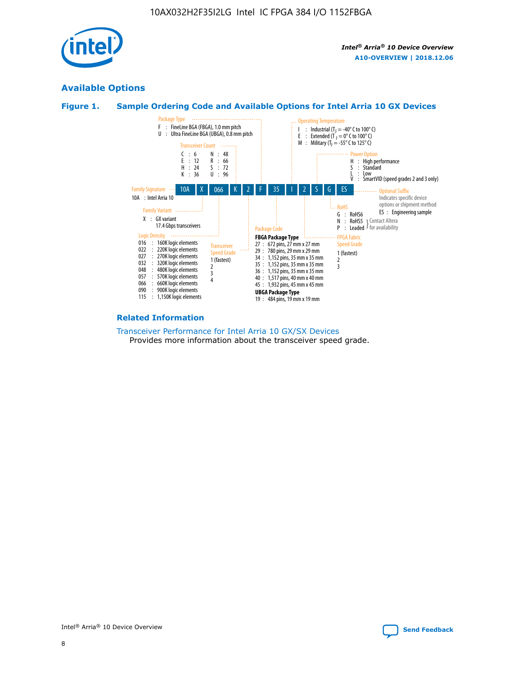

#### **Available Options**





#### **Related Information**

[Transceiver Performance for Intel Arria 10 GX/SX Devices](https://www.intel.com/content/www/us/en/programmable/documentation/mcn1413182292568.html#mcn1413213965502) Provides more information about the transceiver speed grade.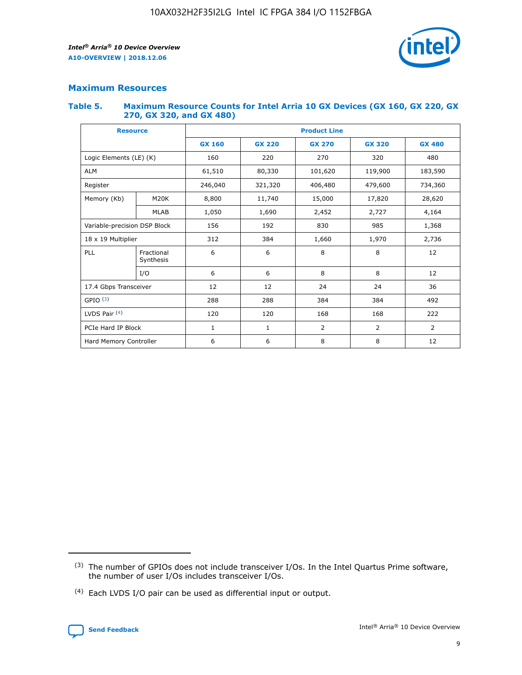

#### **Maximum Resources**

#### **Table 5. Maximum Resource Counts for Intel Arria 10 GX Devices (GX 160, GX 220, GX 270, GX 320, and GX 480)**

| <b>Resource</b>         |                              | <b>Product Line</b> |                                                 |                |                |                |  |  |
|-------------------------|------------------------------|---------------------|-------------------------------------------------|----------------|----------------|----------------|--|--|
|                         |                              | <b>GX 160</b>       | <b>GX 220</b><br><b>GX 270</b><br><b>GX 320</b> |                |                | <b>GX 480</b>  |  |  |
| Logic Elements (LE) (K) |                              | 160                 | 220                                             | 270            | 320            | 480            |  |  |
| <b>ALM</b>              |                              | 61,510              | 80,330                                          | 101,620        | 119,900        | 183,590        |  |  |
| Register                |                              | 246,040             | 321,320                                         | 406,480        | 479,600        | 734,360        |  |  |
| Memory (Kb)             | M <sub>20</sub> K            | 8,800               | 11,740                                          | 15,000         | 17,820         | 28,620         |  |  |
|                         | <b>MLAB</b>                  | 1,050               | 1,690                                           | 2,452          | 2,727          | 4,164          |  |  |
|                         | Variable-precision DSP Block |                     | 192                                             | 830<br>985     |                | 1,368          |  |  |
| 18 x 19 Multiplier      |                              | 312                 | 384                                             | 1,970<br>1,660 |                | 2,736          |  |  |
| PLL                     | Fractional<br>Synthesis      | 6                   | 6                                               | 8              | 8              | 12             |  |  |
|                         | I/O                          | 6                   | 6                                               | 8              | 8              | 12             |  |  |
| 17.4 Gbps Transceiver   |                              | 12                  | 12                                              | 24             | 24             | 36             |  |  |
| GPIO <sup>(3)</sup>     |                              | 288                 | 288                                             | 384            | 384            | 492            |  |  |
| LVDS Pair $(4)$         |                              | 120                 | 120                                             | 168            | 168            | 222            |  |  |
| PCIe Hard IP Block      |                              | 1                   | 1                                               | 2              | $\overline{2}$ | $\overline{2}$ |  |  |
| Hard Memory Controller  |                              | 6                   | 6                                               | 8              | 8              | 12             |  |  |

<sup>(4)</sup> Each LVDS I/O pair can be used as differential input or output.



<sup>(3)</sup> The number of GPIOs does not include transceiver I/Os. In the Intel Quartus Prime software, the number of user I/Os includes transceiver I/Os.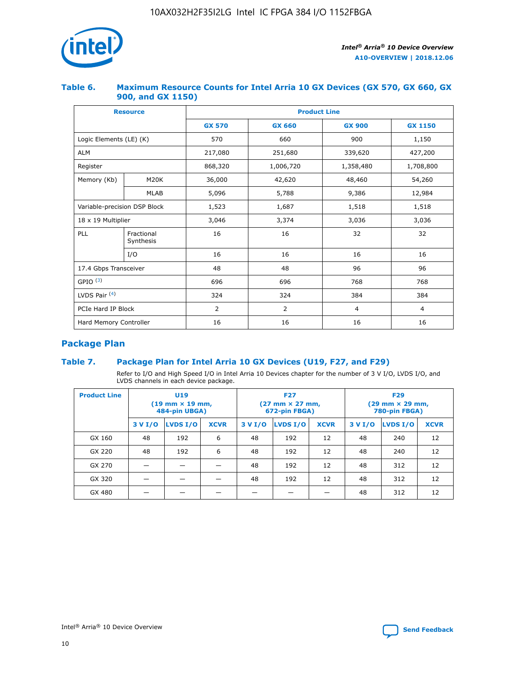

#### **Table 6. Maximum Resource Counts for Intel Arria 10 GX Devices (GX 570, GX 660, GX 900, and GX 1150)**

|                              | <b>Resource</b>         | <b>Product Line</b> |                |                |                |  |  |  |
|------------------------------|-------------------------|---------------------|----------------|----------------|----------------|--|--|--|
|                              |                         | <b>GX 570</b>       | <b>GX 660</b>  | <b>GX 900</b>  | <b>GX 1150</b> |  |  |  |
| Logic Elements (LE) (K)      |                         | 570                 | 660            | 900            | 1,150          |  |  |  |
| <b>ALM</b>                   |                         | 217,080             | 251,680        | 339,620        | 427,200        |  |  |  |
| Register                     |                         | 868,320             | 1,006,720      | 1,358,480      | 1,708,800      |  |  |  |
| Memory (Kb)                  | <b>M20K</b>             | 36,000              | 42,620         | 48,460         | 54,260         |  |  |  |
|                              | <b>MLAB</b>             | 5,096               | 5,788<br>9,386 |                | 12,984         |  |  |  |
| Variable-precision DSP Block |                         | 1,523               | 1,687          | 1,518          | 1,518          |  |  |  |
|                              | 18 x 19 Multiplier      |                     | 3,374          | 3,036          | 3,036          |  |  |  |
| PLL                          | Fractional<br>Synthesis | 16                  | 16             | 32             | 32             |  |  |  |
|                              | I/O                     | 16                  | 16             | 16             | 16             |  |  |  |
| 17.4 Gbps Transceiver        |                         | 48                  | 48             | 96             | 96             |  |  |  |
| GPIO <sup>(3)</sup>          |                         | 696                 | 696            | 768            | 768            |  |  |  |
| LVDS Pair $(4)$              |                         | 324                 | 324<br>384     |                | 384            |  |  |  |
| PCIe Hard IP Block           |                         | 2                   | $\overline{2}$ | $\overline{4}$ | $\overline{4}$ |  |  |  |
| Hard Memory Controller       |                         | 16                  | 16             | 16             | 16             |  |  |  |

## **Package Plan**

#### **Table 7. Package Plan for Intel Arria 10 GX Devices (U19, F27, and F29)**

Refer to I/O and High Speed I/O in Intel Arria 10 Devices chapter for the number of 3 V I/O, LVDS I/O, and LVDS channels in each device package.

| <b>Product Line</b> | <b>U19</b><br>$(19 \text{ mm} \times 19 \text{ mm})$<br>484-pin UBGA) |          |             |         | <b>F27</b><br>(27 mm × 27 mm,<br>672-pin FBGA) |             | <b>F29</b><br>(29 mm × 29 mm,<br>780-pin FBGA) |          |             |  |
|---------------------|-----------------------------------------------------------------------|----------|-------------|---------|------------------------------------------------|-------------|------------------------------------------------|----------|-------------|--|
|                     | 3 V I/O                                                               | LVDS I/O | <b>XCVR</b> | 3 V I/O | <b>LVDS I/O</b>                                | <b>XCVR</b> | 3 V I/O                                        | LVDS I/O | <b>XCVR</b> |  |
| GX 160              | 48                                                                    | 192      | 6           | 48      | 192                                            | 12          | 48                                             | 240      | 12          |  |
| GX 220              | 48                                                                    | 192      | 6           | 48      | 192                                            | 12          | 48                                             | 240      | 12          |  |
| GX 270              |                                                                       |          |             | 48      | 192                                            | 12          | 48                                             | 312      | 12          |  |
| GX 320              |                                                                       |          |             | 48      | 192                                            | 12          | 48                                             | 312      | 12          |  |
| GX 480              |                                                                       |          |             |         |                                                |             | 48                                             | 312      | 12          |  |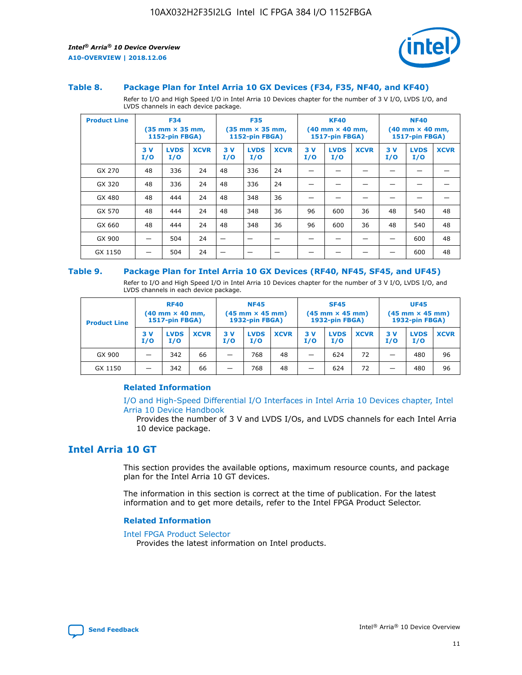

#### **Table 8. Package Plan for Intel Arria 10 GX Devices (F34, F35, NF40, and KF40)**

Refer to I/O and High Speed I/O in Intel Arria 10 Devices chapter for the number of 3 V I/O, LVDS I/O, and LVDS channels in each device package.

| <b>Product Line</b> | <b>F34</b><br>$(35 \text{ mm} \times 35 \text{ mm})$<br><b>1152-pin FBGA)</b> |                    | <b>F35</b><br>$(35 \text{ mm} \times 35 \text{ mm})$<br><b>1152-pin FBGA)</b> |           | <b>KF40</b><br>$(40$ mm $\times$ 40 mm,<br>1517-pin FBGA) |             |           | <b>NF40</b><br>$(40 \text{ mm} \times 40 \text{ mm})$<br>1517-pin FBGA) |             |           |                    |             |
|---------------------|-------------------------------------------------------------------------------|--------------------|-------------------------------------------------------------------------------|-----------|-----------------------------------------------------------|-------------|-----------|-------------------------------------------------------------------------|-------------|-----------|--------------------|-------------|
|                     | 3V<br>I/O                                                                     | <b>LVDS</b><br>I/O | <b>XCVR</b>                                                                   | 3V<br>I/O | <b>LVDS</b><br>I/O                                        | <b>XCVR</b> | 3V<br>I/O | <b>LVDS</b><br>I/O                                                      | <b>XCVR</b> | 3V<br>I/O | <b>LVDS</b><br>I/O | <b>XCVR</b> |
| GX 270              | 48                                                                            | 336                | 24                                                                            | 48        | 336                                                       | 24          |           |                                                                         |             |           |                    |             |
| GX 320              | 48                                                                            | 336                | 24                                                                            | 48        | 336                                                       | 24          |           |                                                                         |             |           |                    |             |
| GX 480              | 48                                                                            | 444                | 24                                                                            | 48        | 348                                                       | 36          |           |                                                                         |             |           |                    |             |
| GX 570              | 48                                                                            | 444                | 24                                                                            | 48        | 348                                                       | 36          | 96        | 600                                                                     | 36          | 48        | 540                | 48          |
| GX 660              | 48                                                                            | 444                | 24                                                                            | 48        | 348                                                       | 36          | 96        | 600                                                                     | 36          | 48        | 540                | 48          |
| GX 900              |                                                                               | 504                | 24                                                                            | –         |                                                           | -           |           |                                                                         |             |           | 600                | 48          |
| GX 1150             |                                                                               | 504                | 24                                                                            |           |                                                           |             |           |                                                                         |             |           | 600                | 48          |

#### **Table 9. Package Plan for Intel Arria 10 GX Devices (RF40, NF45, SF45, and UF45)**

Refer to I/O and High Speed I/O in Intel Arria 10 Devices chapter for the number of 3 V I/O, LVDS I/O, and LVDS channels in each device package.

| <b>Product Line</b> | <b>RF40</b><br>$(40$ mm $\times$ 40 mm,<br>1517-pin FBGA) |                    |             | <b>NF45</b><br>$(45 \text{ mm} \times 45 \text{ mm})$<br><b>1932-pin FBGA)</b> |                    |             | <b>SF45</b><br>$(45 \text{ mm} \times 45 \text{ mm})$<br><b>1932-pin FBGA)</b> |                    |             | <b>UF45</b><br>$(45 \text{ mm} \times 45 \text{ mm})$<br><b>1932-pin FBGA)</b> |                    |             |
|---------------------|-----------------------------------------------------------|--------------------|-------------|--------------------------------------------------------------------------------|--------------------|-------------|--------------------------------------------------------------------------------|--------------------|-------------|--------------------------------------------------------------------------------|--------------------|-------------|
|                     | 3V<br>I/O                                                 | <b>LVDS</b><br>I/O | <b>XCVR</b> | 3 V<br>I/O                                                                     | <b>LVDS</b><br>I/O | <b>XCVR</b> | 3 V<br>I/O                                                                     | <b>LVDS</b><br>I/O | <b>XCVR</b> | 3V<br>I/O                                                                      | <b>LVDS</b><br>I/O | <b>XCVR</b> |
| GX 900              |                                                           | 342                | 66          | _                                                                              | 768                | 48          |                                                                                | 624                | 72          |                                                                                | 480                | 96          |
| GX 1150             |                                                           | 342                | 66          | _                                                                              | 768                | 48          |                                                                                | 624                | 72          |                                                                                | 480                | 96          |

#### **Related Information**

[I/O and High-Speed Differential I/O Interfaces in Intel Arria 10 Devices chapter, Intel](https://www.intel.com/content/www/us/en/programmable/documentation/sam1403482614086.html#sam1403482030321) [Arria 10 Device Handbook](https://www.intel.com/content/www/us/en/programmable/documentation/sam1403482614086.html#sam1403482030321)

Provides the number of 3 V and LVDS I/Os, and LVDS channels for each Intel Arria 10 device package.

## **Intel Arria 10 GT**

This section provides the available options, maximum resource counts, and package plan for the Intel Arria 10 GT devices.

The information in this section is correct at the time of publication. For the latest information and to get more details, refer to the Intel FPGA Product Selector.

#### **Related Information**

#### [Intel FPGA Product Selector](http://www.altera.com/products/selector/psg-selector.html)

Provides the latest information on Intel products.

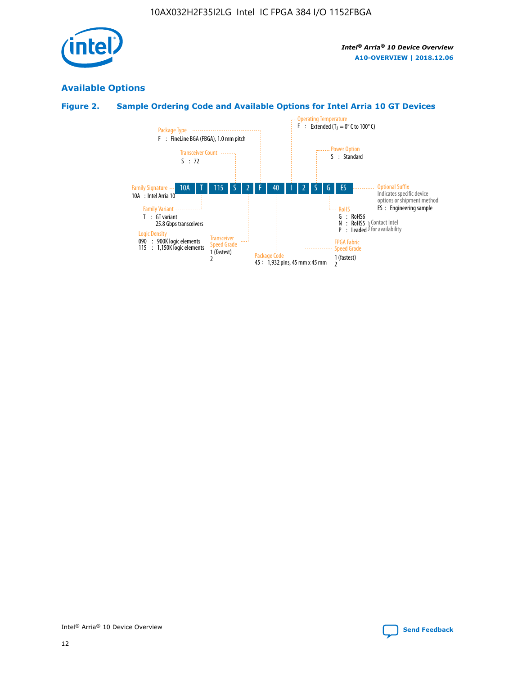

## **Available Options**

#### **Figure 2. Sample Ordering Code and Available Options for Intel Arria 10 GT Devices**

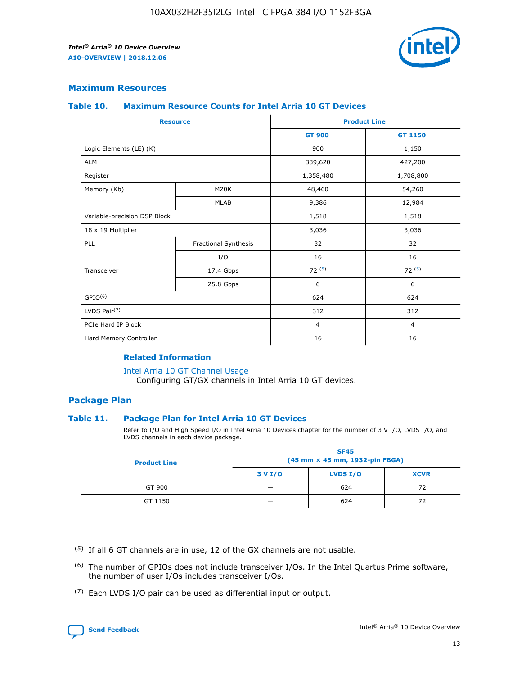

#### **Maximum Resources**

#### **Table 10. Maximum Resource Counts for Intel Arria 10 GT Devices**

| <b>Resource</b>              |                      | <b>Product Line</b> |                |  |
|------------------------------|----------------------|---------------------|----------------|--|
|                              |                      | <b>GT 900</b>       | GT 1150        |  |
| Logic Elements (LE) (K)      |                      | 900                 | 1,150          |  |
| <b>ALM</b>                   |                      | 339,620             | 427,200        |  |
| Register                     |                      | 1,358,480           | 1,708,800      |  |
| Memory (Kb)                  | M <sub>20</sub> K    | 48,460              | 54,260         |  |
|                              | <b>MLAB</b>          | 9,386               | 12,984         |  |
| Variable-precision DSP Block |                      | 1,518               | 1,518          |  |
| 18 x 19 Multiplier           |                      | 3,036               | 3,036          |  |
| <b>PLL</b>                   | Fractional Synthesis | 32                  | 32             |  |
|                              | I/O                  | 16                  | 16             |  |
| Transceiver                  | 17.4 Gbps            | 72(5)               | 72(5)          |  |
|                              | 25.8 Gbps            | 6                   | 6              |  |
| GPIO <sup>(6)</sup>          |                      | 624                 | 624            |  |
| LVDS Pair $(7)$              |                      | 312                 | 312            |  |
| PCIe Hard IP Block           |                      | $\overline{4}$      | $\overline{4}$ |  |
| Hard Memory Controller       |                      | 16                  | 16             |  |

#### **Related Information**

#### [Intel Arria 10 GT Channel Usage](https://www.intel.com/content/www/us/en/programmable/documentation/nik1398707230472.html#nik1398707008178)

Configuring GT/GX channels in Intel Arria 10 GT devices.

#### **Package Plan**

#### **Table 11. Package Plan for Intel Arria 10 GT Devices**

Refer to I/O and High Speed I/O in Intel Arria 10 Devices chapter for the number of 3 V I/O, LVDS I/O, and LVDS channels in each device package.

| <b>Product Line</b> | <b>SF45</b><br>(45 mm × 45 mm, 1932-pin FBGA) |                 |             |  |  |  |
|---------------------|-----------------------------------------------|-----------------|-------------|--|--|--|
|                     | 3 V I/O                                       | <b>LVDS I/O</b> | <b>XCVR</b> |  |  |  |
| GT 900              |                                               | 624             | 72          |  |  |  |
| GT 1150             |                                               | 624             | 72          |  |  |  |

<sup>(7)</sup> Each LVDS I/O pair can be used as differential input or output.



 $(5)$  If all 6 GT channels are in use, 12 of the GX channels are not usable.

<sup>(6)</sup> The number of GPIOs does not include transceiver I/Os. In the Intel Quartus Prime software, the number of user I/Os includes transceiver I/Os.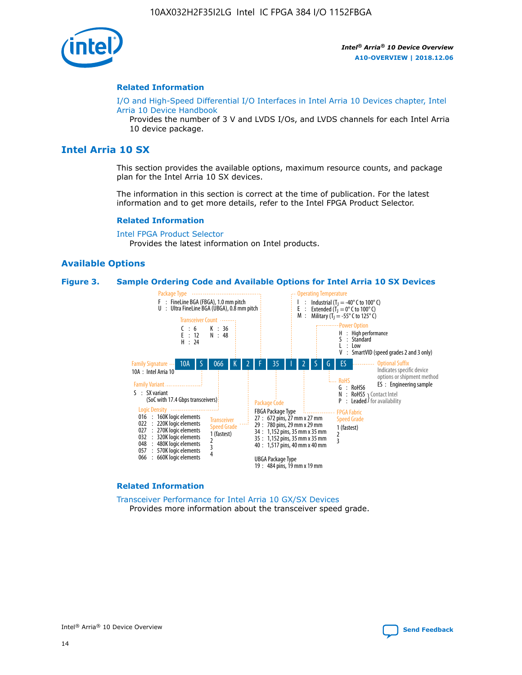

#### **Related Information**

[I/O and High-Speed Differential I/O Interfaces in Intel Arria 10 Devices chapter, Intel](https://www.intel.com/content/www/us/en/programmable/documentation/sam1403482614086.html#sam1403482030321) [Arria 10 Device Handbook](https://www.intel.com/content/www/us/en/programmable/documentation/sam1403482614086.html#sam1403482030321)

Provides the number of 3 V and LVDS I/Os, and LVDS channels for each Intel Arria 10 device package.

#### **Intel Arria 10 SX**

This section provides the available options, maximum resource counts, and package plan for the Intel Arria 10 SX devices.

The information in this section is correct at the time of publication. For the latest information and to get more details, refer to the Intel FPGA Product Selector.

#### **Related Information**

[Intel FPGA Product Selector](http://www.altera.com/products/selector/psg-selector.html) Provides the latest information on Intel products.

#### **Available Options**

#### **Figure 3. Sample Ordering Code and Available Options for Intel Arria 10 SX Devices**



#### **Related Information**

[Transceiver Performance for Intel Arria 10 GX/SX Devices](https://www.intel.com/content/www/us/en/programmable/documentation/mcn1413182292568.html#mcn1413213965502) Provides more information about the transceiver speed grade.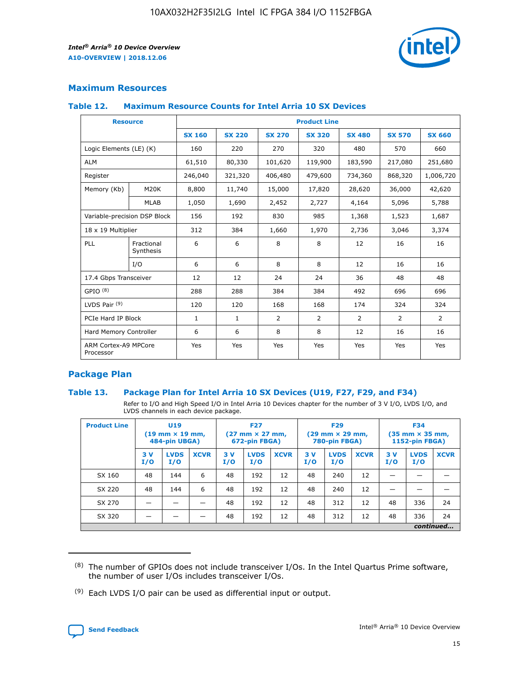

#### **Maximum Resources**

#### **Table 12. Maximum Resource Counts for Intel Arria 10 SX Devices**

| <b>Resource</b>                   |                         | <b>Product Line</b> |               |                |                |                |                |               |  |  |  |
|-----------------------------------|-------------------------|---------------------|---------------|----------------|----------------|----------------|----------------|---------------|--|--|--|
|                                   |                         | <b>SX 160</b>       | <b>SX 220</b> | <b>SX 270</b>  | <b>SX 320</b>  | <b>SX 480</b>  | <b>SX 570</b>  | <b>SX 660</b> |  |  |  |
| Logic Elements (LE) (K)           |                         | 160                 | 220           | 270            | 320            | 480            | 570            | 660           |  |  |  |
| <b>ALM</b>                        |                         | 61,510              | 80,330        | 101,620        | 119,900        | 183,590        | 217,080        | 251,680       |  |  |  |
| Register                          |                         | 246,040             | 321,320       | 406,480        | 479,600        | 734,360        | 868,320        | 1,006,720     |  |  |  |
| Memory (Kb)                       | M <sub>20</sub> K       | 8,800               | 11,740        | 15,000         | 17,820         | 28,620         | 36,000         | 42,620        |  |  |  |
|                                   | <b>MLAB</b>             | 1,050               | 1,690         | 2,452          | 2,727          | 4,164          | 5,096          | 5,788         |  |  |  |
| Variable-precision DSP Block      |                         | 156                 | 192           | 830            | 985            | 1,368          | 1,523          | 1,687         |  |  |  |
| 18 x 19 Multiplier                |                         | 312                 | 384           | 1,660          | 1,970          | 2,736          | 3,046          | 3,374         |  |  |  |
| <b>PLL</b>                        | Fractional<br>Synthesis | 6                   | 6             | 8              | 8              | 12             | 16             | 16            |  |  |  |
|                                   | I/O                     | 6                   | 6             | 8              | 8              | 12             | 16             | 16            |  |  |  |
| 17.4 Gbps Transceiver             |                         | 12                  | 12            | 24             | 24             | 36             | 48             | 48            |  |  |  |
| GPIO <sup>(8)</sup>               |                         | 288                 | 288           | 384            | 384            | 492            | 696            | 696           |  |  |  |
| LVDS Pair $(9)$                   |                         | 120                 | 120           | 168            | 168            | 174            | 324            | 324           |  |  |  |
| PCIe Hard IP Block                |                         | $\mathbf{1}$        | 1             | $\overline{2}$ | $\overline{2}$ | $\overline{2}$ | $\overline{2}$ | 2             |  |  |  |
| Hard Memory Controller            |                         | 6                   | 6             | 8              | 8              | 12             | 16             | 16            |  |  |  |
| ARM Cortex-A9 MPCore<br>Processor |                         | Yes                 | Yes           | Yes            | Yes            | Yes            | Yes            | Yes           |  |  |  |

#### **Package Plan**

#### **Table 13. Package Plan for Intel Arria 10 SX Devices (U19, F27, F29, and F34)**

Refer to I/O and High Speed I/O in Intel Arria 10 Devices chapter for the number of 3 V I/O, LVDS I/O, and LVDS channels in each device package.

| <b>Product Line</b> | U19<br>$(19 \text{ mm} \times 19 \text{ mm})$<br>484-pin UBGA) |                    | <b>F27</b><br>$(27 \text{ mm} \times 27 \text{ mm})$<br>672-pin FBGA) |           | <b>F29</b><br>$(29 \text{ mm} \times 29 \text{ mm})$<br>780-pin FBGA) |             |            | <b>F34</b><br>$(35 \text{ mm} \times 35 \text{ mm})$<br><b>1152-pin FBGA)</b> |             |           |                    |             |
|---------------------|----------------------------------------------------------------|--------------------|-----------------------------------------------------------------------|-----------|-----------------------------------------------------------------------|-------------|------------|-------------------------------------------------------------------------------|-------------|-----------|--------------------|-------------|
|                     | 3V<br>I/O                                                      | <b>LVDS</b><br>I/O | <b>XCVR</b>                                                           | 3V<br>I/O | <b>LVDS</b><br>I/O                                                    | <b>XCVR</b> | 3 V<br>I/O | <b>LVDS</b><br>I/O                                                            | <b>XCVR</b> | 3V<br>I/O | <b>LVDS</b><br>I/O | <b>XCVR</b> |
| SX 160              | 48                                                             | 144                | 6                                                                     | 48        | 192                                                                   | 12          | 48         | 240                                                                           | 12          | –         |                    |             |
| SX 220              | 48                                                             | 144                | 6                                                                     | 48        | 192                                                                   | 12          | 48         | 240                                                                           | 12          |           |                    |             |
| SX 270              |                                                                |                    |                                                                       | 48        | 192                                                                   | 12          | 48         | 312                                                                           | 12          | 48        | 336                | 24          |
| SX 320              |                                                                |                    |                                                                       | 48        | 192                                                                   | 12          | 48         | 312                                                                           | 12          | 48        | 336                | 24          |
|                     | continued                                                      |                    |                                                                       |           |                                                                       |             |            |                                                                               |             |           |                    |             |

 $(8)$  The number of GPIOs does not include transceiver I/Os. In the Intel Quartus Prime software, the number of user I/Os includes transceiver I/Os.

 $(9)$  Each LVDS I/O pair can be used as differential input or output.

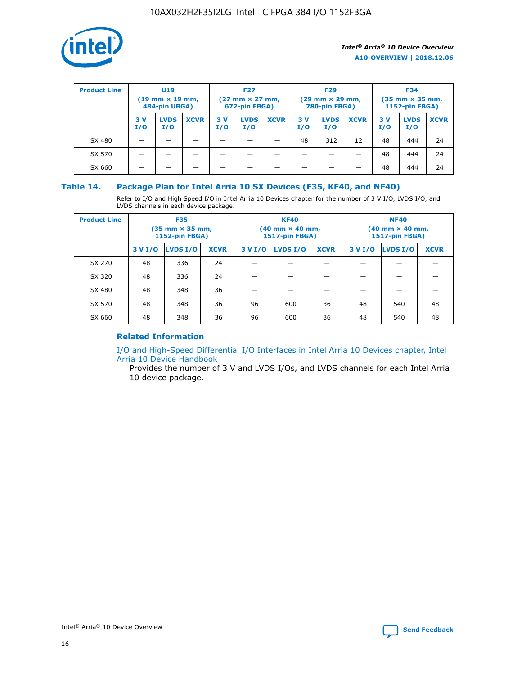

| <b>Product Line</b> | U <sub>19</sub><br>$(19 \text{ mm} \times 19 \text{ mm})$<br>484-pin UBGA) |                    | <b>F27</b><br>$(27 \text{ mm} \times 27 \text{ mm})$<br>672-pin FBGA) |           | <b>F29</b><br>$(29 \text{ mm} \times 29 \text{ mm})$<br>780-pin FBGA) |             |           | <b>F34</b><br>$(35$ mm $\times$ 35 mm,<br><b>1152-pin FBGA)</b> |             |           |                    |             |
|---------------------|----------------------------------------------------------------------------|--------------------|-----------------------------------------------------------------------|-----------|-----------------------------------------------------------------------|-------------|-----------|-----------------------------------------------------------------|-------------|-----------|--------------------|-------------|
|                     | 3V<br>I/O                                                                  | <b>LVDS</b><br>I/O | <b>XCVR</b>                                                           | 3V<br>I/O | <b>LVDS</b><br>I/O                                                    | <b>XCVR</b> | 3V<br>I/O | <b>LVDS</b><br>I/O                                              | <b>XCVR</b> | 3V<br>I/O | <b>LVDS</b><br>I/O | <b>XCVR</b> |
| SX 480              |                                                                            |                    |                                                                       |           |                                                                       |             | 48        | 312                                                             | 12          | 48        | 444                | 24          |
| SX 570              |                                                                            |                    |                                                                       |           |                                                                       |             |           |                                                                 |             | 48        | 444                | 24          |
| SX 660              |                                                                            |                    |                                                                       |           |                                                                       |             |           |                                                                 |             | 48        | 444                | 24          |

#### **Table 14. Package Plan for Intel Arria 10 SX Devices (F35, KF40, and NF40)**

Refer to I/O and High Speed I/O in Intel Arria 10 Devices chapter for the number of 3 V I/O, LVDS I/O, and LVDS channels in each device package.

| <b>Product Line</b> | <b>F35</b><br>$(35 \text{ mm} \times 35 \text{ mm})$<br><b>1152-pin FBGA)</b> |          |             |                                           | <b>KF40</b><br>(40 mm × 40 mm,<br>1517-pin FBGA) |    | <b>NF40</b><br>$(40 \text{ mm} \times 40 \text{ mm})$<br>1517-pin FBGA) |          |             |  |
|---------------------|-------------------------------------------------------------------------------|----------|-------------|-------------------------------------------|--------------------------------------------------|----|-------------------------------------------------------------------------|----------|-------------|--|
|                     | 3 V I/O                                                                       | LVDS I/O | <b>XCVR</b> | <b>LVDS I/O</b><br><b>XCVR</b><br>3 V I/O |                                                  |    | 3 V I/O                                                                 | LVDS I/O | <b>XCVR</b> |  |
| SX 270              | 48                                                                            | 336      | 24          |                                           |                                                  |    |                                                                         |          |             |  |
| SX 320              | 48                                                                            | 336      | 24          |                                           |                                                  |    |                                                                         |          |             |  |
| SX 480              | 48                                                                            | 348      | 36          |                                           |                                                  |    |                                                                         |          |             |  |
| SX 570              | 48                                                                            | 348      | 36          | 96                                        | 600                                              | 36 | 48                                                                      | 540      | 48          |  |
| SX 660              | 48                                                                            | 348      | 36          | 96                                        | 600                                              | 36 | 48                                                                      | 540      | 48          |  |

#### **Related Information**

[I/O and High-Speed Differential I/O Interfaces in Intel Arria 10 Devices chapter, Intel](https://www.intel.com/content/www/us/en/programmable/documentation/sam1403482614086.html#sam1403482030321) [Arria 10 Device Handbook](https://www.intel.com/content/www/us/en/programmable/documentation/sam1403482614086.html#sam1403482030321)

Provides the number of 3 V and LVDS I/Os, and LVDS channels for each Intel Arria 10 device package.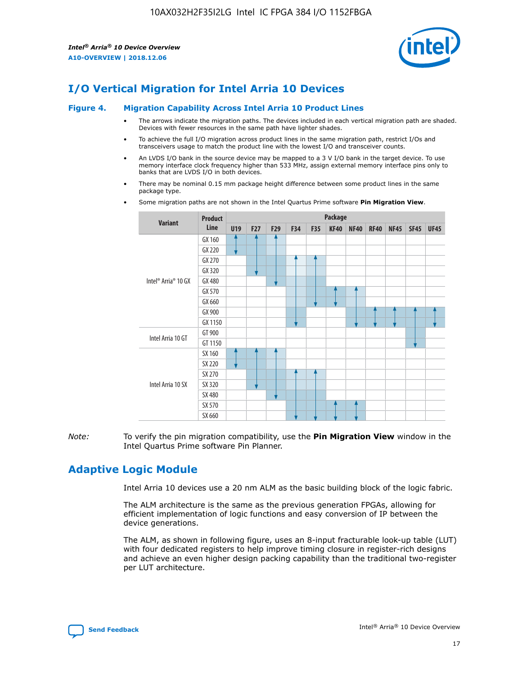

## **I/O Vertical Migration for Intel Arria 10 Devices**

#### **Figure 4. Migration Capability Across Intel Arria 10 Product Lines**

- The arrows indicate the migration paths. The devices included in each vertical migration path are shaded. Devices with fewer resources in the same path have lighter shades.
- To achieve the full I/O migration across product lines in the same migration path, restrict I/Os and transceivers usage to match the product line with the lowest I/O and transceiver counts.
- An LVDS I/O bank in the source device may be mapped to a 3 V I/O bank in the target device. To use memory interface clock frequency higher than 533 MHz, assign external memory interface pins only to banks that are LVDS I/O in both devices.
- There may be nominal 0.15 mm package height difference between some product lines in the same package type.
	- **Variant Product Line Package U19 F27 F29 F34 F35 KF40 NF40 RF40 NF45 SF45 UF45** Intel® Arria® 10 GX GX 160 GX 220 GX 270 GX 320 GX 480 GX 570 GX 660 GX 900 GX 1150 Intel Arria 10 GT GT 900 GT 1150 Intel Arria 10 SX SX 160 SX 220 SX 270 SX 320 SX 480 SX 570 SX 660
- Some migration paths are not shown in the Intel Quartus Prime software **Pin Migration View**.

*Note:* To verify the pin migration compatibility, use the **Pin Migration View** window in the Intel Quartus Prime software Pin Planner.

## **Adaptive Logic Module**

Intel Arria 10 devices use a 20 nm ALM as the basic building block of the logic fabric.

The ALM architecture is the same as the previous generation FPGAs, allowing for efficient implementation of logic functions and easy conversion of IP between the device generations.

The ALM, as shown in following figure, uses an 8-input fracturable look-up table (LUT) with four dedicated registers to help improve timing closure in register-rich designs and achieve an even higher design packing capability than the traditional two-register per LUT architecture.

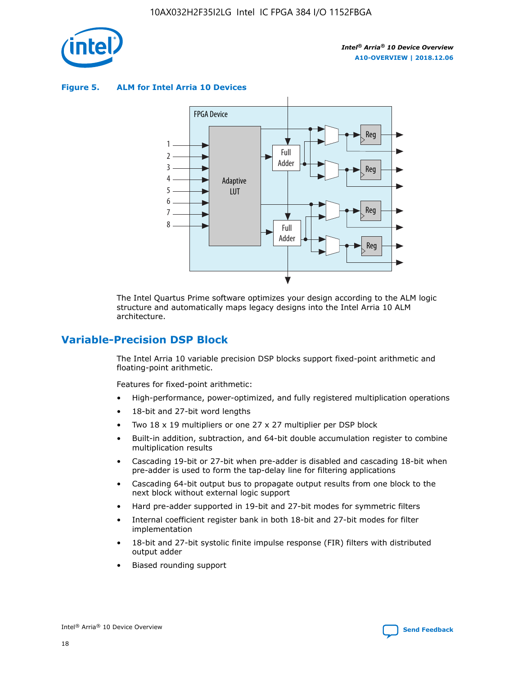

**Figure 5. ALM for Intel Arria 10 Devices**



The Intel Quartus Prime software optimizes your design according to the ALM logic structure and automatically maps legacy designs into the Intel Arria 10 ALM architecture.

## **Variable-Precision DSP Block**

The Intel Arria 10 variable precision DSP blocks support fixed-point arithmetic and floating-point arithmetic.

Features for fixed-point arithmetic:

- High-performance, power-optimized, and fully registered multiplication operations
- 18-bit and 27-bit word lengths
- Two 18 x 19 multipliers or one 27 x 27 multiplier per DSP block
- Built-in addition, subtraction, and 64-bit double accumulation register to combine multiplication results
- Cascading 19-bit or 27-bit when pre-adder is disabled and cascading 18-bit when pre-adder is used to form the tap-delay line for filtering applications
- Cascading 64-bit output bus to propagate output results from one block to the next block without external logic support
- Hard pre-adder supported in 19-bit and 27-bit modes for symmetric filters
- Internal coefficient register bank in both 18-bit and 27-bit modes for filter implementation
- 18-bit and 27-bit systolic finite impulse response (FIR) filters with distributed output adder
- Biased rounding support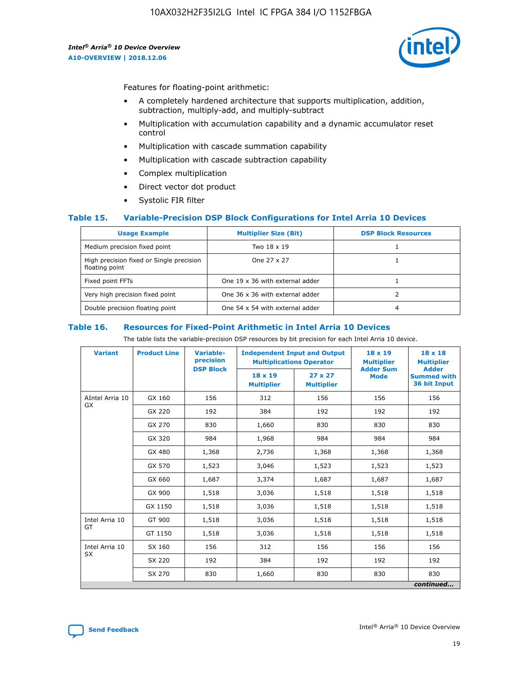

Features for floating-point arithmetic:

- A completely hardened architecture that supports multiplication, addition, subtraction, multiply-add, and multiply-subtract
- Multiplication with accumulation capability and a dynamic accumulator reset control
- Multiplication with cascade summation capability
- Multiplication with cascade subtraction capability
- Complex multiplication
- Direct vector dot product
- Systolic FIR filter

#### **Table 15. Variable-Precision DSP Block Configurations for Intel Arria 10 Devices**

| <b>Usage Example</b>                                       | <b>Multiplier Size (Bit)</b>    | <b>DSP Block Resources</b> |
|------------------------------------------------------------|---------------------------------|----------------------------|
| Medium precision fixed point                               | Two 18 x 19                     |                            |
| High precision fixed or Single precision<br>floating point | One 27 x 27                     |                            |
| Fixed point FFTs                                           | One 19 x 36 with external adder |                            |
| Very high precision fixed point                            | One 36 x 36 with external adder |                            |
| Double precision floating point                            | One 54 x 54 with external adder | 4                          |

#### **Table 16. Resources for Fixed-Point Arithmetic in Intel Arria 10 Devices**

The table lists the variable-precision DSP resources by bit precision for each Intel Arria 10 device.

| <b>Variant</b>  | <b>Product Line</b> | Variable-<br>precision<br><b>DSP Block</b> | <b>Independent Input and Output</b><br><b>Multiplications Operator</b> |                                     | 18 x 19<br><b>Multiplier</b><br><b>Adder Sum</b> | $18 \times 18$<br><b>Multiplier</b><br><b>Adder</b> |
|-----------------|---------------------|--------------------------------------------|------------------------------------------------------------------------|-------------------------------------|--------------------------------------------------|-----------------------------------------------------|
|                 |                     |                                            | 18 x 19<br><b>Multiplier</b>                                           | $27 \times 27$<br><b>Multiplier</b> | <b>Mode</b>                                      | <b>Summed with</b><br>36 bit Input                  |
| AIntel Arria 10 | GX 160              | 156                                        | 312                                                                    | 156                                 | 156                                              | 156                                                 |
| GX              | GX 220              | 192                                        | 384                                                                    | 192                                 | 192                                              | 192                                                 |
|                 | GX 270              | 830                                        | 1,660                                                                  | 830                                 | 830                                              | 830                                                 |
|                 | GX 320              | 984                                        | 1,968                                                                  | 984                                 | 984                                              | 984                                                 |
|                 | GX 480              | 1,368                                      | 2,736                                                                  | 1,368                               | 1,368                                            | 1,368                                               |
|                 | GX 570              | 1,523                                      | 3,046                                                                  | 1,523                               | 1,523                                            | 1,523                                               |
|                 | GX 660              | 1,687                                      | 3,374                                                                  | 1,687                               | 1,687                                            | 1,687                                               |
|                 | GX 900              | 1,518                                      | 3,036                                                                  | 1,518                               | 1,518                                            | 1,518                                               |
|                 | GX 1150             | 1,518                                      | 3,036                                                                  | 1,518                               | 1,518                                            | 1,518                                               |
| Intel Arria 10  | GT 900              | 1,518                                      | 3,036                                                                  | 1,518                               | 1,518                                            | 1,518                                               |
| GT              | GT 1150             | 1,518                                      | 3,036                                                                  | 1,518                               | 1,518                                            | 1,518                                               |
| Intel Arria 10  | SX 160              | 156                                        | 312                                                                    | 156                                 | 156                                              | 156                                                 |
| <b>SX</b>       | SX 220              | 192                                        | 384                                                                    | 192                                 | 192                                              | 192                                                 |
|                 | SX 270              | 830                                        | 1,660                                                                  | 830                                 | 830                                              | 830                                                 |
|                 |                     |                                            |                                                                        |                                     |                                                  | continued                                           |

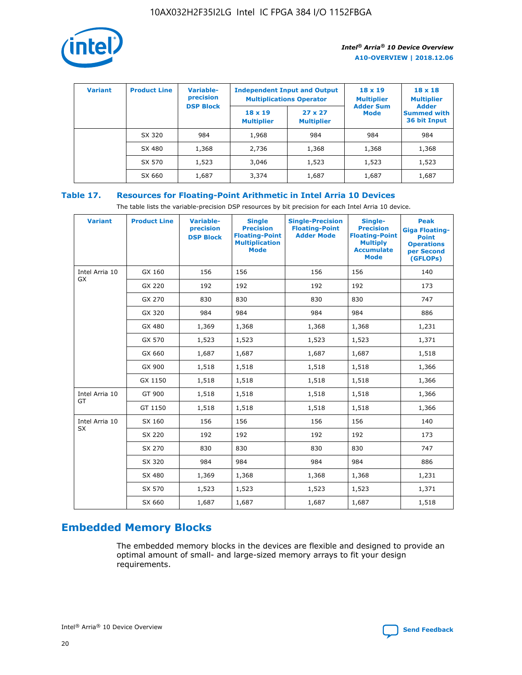

| <b>Variant</b> | <b>Product Line</b> | <b>Variable-</b><br>precision |                                     | <b>Independent Input and Output</b><br><b>Multiplications Operator</b> | $18 \times 19$<br><b>Multiplier</b> | $18 \times 18$<br><b>Multiplier</b><br><b>Adder</b> |  |
|----------------|---------------------|-------------------------------|-------------------------------------|------------------------------------------------------------------------|-------------------------------------|-----------------------------------------------------|--|
|                |                     | <b>DSP Block</b>              | $18 \times 19$<br><b>Multiplier</b> | $27 \times 27$<br><b>Multiplier</b>                                    | <b>Adder Sum</b><br><b>Mode</b>     | <b>Summed with</b><br>36 bit Input                  |  |
|                | SX 320              | 984                           | 1,968                               | 984                                                                    | 984                                 | 984                                                 |  |
|                | SX 480              | 1,368                         | 2,736                               | 1,368                                                                  | 1,368                               | 1,368                                               |  |
|                | SX 570              | 1,523                         | 3,046                               | 1,523                                                                  | 1,523                               | 1,523                                               |  |
|                | SX 660              | 1,687                         | 3,374                               | 1,687                                                                  | 1,687                               | 1,687                                               |  |

#### **Table 17. Resources for Floating-Point Arithmetic in Intel Arria 10 Devices**

The table lists the variable-precision DSP resources by bit precision for each Intel Arria 10 device.

| <b>Variant</b>              | <b>Product Line</b> | <b>Variable-</b><br>precision<br><b>DSP Block</b> | <b>Single</b><br><b>Precision</b><br><b>Floating-Point</b><br><b>Multiplication</b><br><b>Mode</b> | <b>Single-Precision</b><br><b>Floating-Point</b><br><b>Adder Mode</b> | Single-<br><b>Precision</b><br><b>Floating-Point</b><br><b>Multiply</b><br><b>Accumulate</b><br><b>Mode</b> | <b>Peak</b><br><b>Giga Floating-</b><br><b>Point</b><br><b>Operations</b><br>per Second<br>(GFLOPs) |
|-----------------------------|---------------------|---------------------------------------------------|----------------------------------------------------------------------------------------------------|-----------------------------------------------------------------------|-------------------------------------------------------------------------------------------------------------|-----------------------------------------------------------------------------------------------------|
| Intel Arria 10<br>GX        | GX 160              | 156                                               | 156                                                                                                | 156                                                                   | 156                                                                                                         | 140                                                                                                 |
|                             | GX 220              | 192                                               | 192                                                                                                | 192                                                                   | 192                                                                                                         | 173                                                                                                 |
|                             | GX 270              | 830                                               | 830                                                                                                | 830                                                                   | 830                                                                                                         | 747                                                                                                 |
|                             | GX 320              | 984                                               | 984                                                                                                | 984                                                                   | 984                                                                                                         | 886                                                                                                 |
|                             | GX 480              | 1,369                                             | 1,368                                                                                              | 1,368                                                                 | 1,368                                                                                                       | 1,231                                                                                               |
|                             | GX 570              | 1,523                                             | 1,523                                                                                              | 1,523                                                                 | 1,523                                                                                                       | 1,371                                                                                               |
|                             | GX 660              | 1,687                                             | 1,687                                                                                              | 1,687                                                                 | 1,687                                                                                                       | 1,518                                                                                               |
|                             | GX 900              | 1,518                                             | 1,518                                                                                              | 1,518                                                                 | 1,518                                                                                                       | 1,366                                                                                               |
|                             | GX 1150             | 1,518                                             | 1,518                                                                                              | 1,518                                                                 | 1,518                                                                                                       | 1,366                                                                                               |
| Intel Arria 10              | GT 900              | 1,518                                             | 1,518                                                                                              | 1,518                                                                 | 1,518                                                                                                       | 1,366                                                                                               |
| GT                          | GT 1150             | 1,518                                             | 1,518                                                                                              | 1,518                                                                 | 1,518                                                                                                       | 1,366                                                                                               |
| Intel Arria 10<br><b>SX</b> | SX 160              | 156                                               | 156                                                                                                | 156                                                                   | 156                                                                                                         | 140                                                                                                 |
|                             | SX 220              | 192                                               | 192                                                                                                | 192                                                                   | 192                                                                                                         | 173                                                                                                 |
|                             | SX 270              | 830                                               | 830                                                                                                | 830                                                                   | 830                                                                                                         | 747                                                                                                 |
|                             | SX 320              | 984                                               | 984                                                                                                | 984                                                                   | 984                                                                                                         | 886                                                                                                 |
|                             | SX 480              | 1,369                                             | 1,368                                                                                              | 1,368                                                                 | 1,368                                                                                                       | 1,231                                                                                               |
|                             | SX 570              | 1,523                                             | 1,523                                                                                              | 1,523                                                                 | 1,523                                                                                                       | 1,371                                                                                               |
|                             | SX 660              | 1,687                                             | 1,687                                                                                              | 1,687                                                                 | 1,687                                                                                                       | 1,518                                                                                               |

## **Embedded Memory Blocks**

The embedded memory blocks in the devices are flexible and designed to provide an optimal amount of small- and large-sized memory arrays to fit your design requirements.

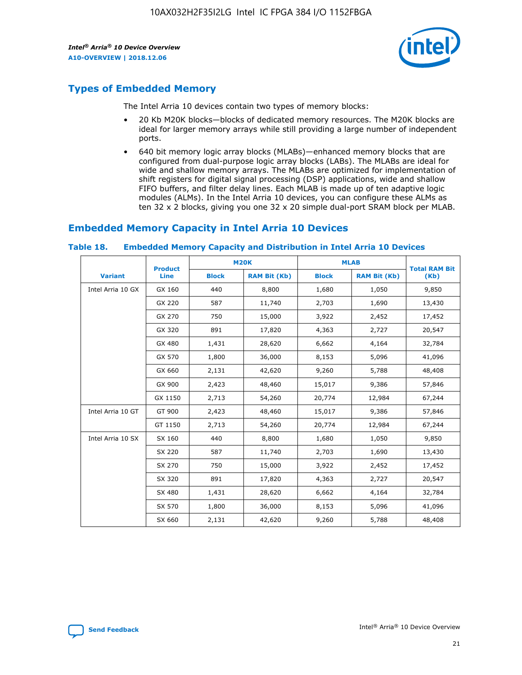

## **Types of Embedded Memory**

The Intel Arria 10 devices contain two types of memory blocks:

- 20 Kb M20K blocks—blocks of dedicated memory resources. The M20K blocks are ideal for larger memory arrays while still providing a large number of independent ports.
- 640 bit memory logic array blocks (MLABs)—enhanced memory blocks that are configured from dual-purpose logic array blocks (LABs). The MLABs are ideal for wide and shallow memory arrays. The MLABs are optimized for implementation of shift registers for digital signal processing (DSP) applications, wide and shallow FIFO buffers, and filter delay lines. Each MLAB is made up of ten adaptive logic modules (ALMs). In the Intel Arria 10 devices, you can configure these ALMs as ten 32 x 2 blocks, giving you one 32 x 20 simple dual-port SRAM block per MLAB.

## **Embedded Memory Capacity in Intel Arria 10 Devices**

|                   | <b>Product</b> |              | <b>M20K</b>         | <b>MLAB</b>  |                     | <b>Total RAM Bit</b> |
|-------------------|----------------|--------------|---------------------|--------------|---------------------|----------------------|
| <b>Variant</b>    | Line           | <b>Block</b> | <b>RAM Bit (Kb)</b> | <b>Block</b> | <b>RAM Bit (Kb)</b> | (Kb)                 |
| Intel Arria 10 GX | GX 160         | 440          | 8,800               | 1,680        | 1,050               | 9,850                |
|                   | GX 220         | 587          | 11,740              | 2,703        | 1,690               | 13,430               |
|                   | GX 270         | 750          | 15,000              | 3,922        | 2,452               | 17,452               |
|                   | GX 320         | 891          | 17,820              | 4,363        | 2,727               | 20,547               |
|                   | GX 480         | 1,431        | 28,620              | 6,662        | 4,164               | 32,784               |
|                   | GX 570         | 1,800        | 36,000              | 8,153        | 5,096               | 41,096               |
|                   | GX 660         | 2,131        | 42,620              | 9,260        | 5,788               | 48,408               |
|                   | GX 900         | 2,423        | 48,460              | 15,017       | 9,386               | 57,846               |
|                   | GX 1150        | 2,713        | 54,260              | 20,774       | 12,984              | 67,244               |
| Intel Arria 10 GT | GT 900         | 2,423        | 48,460              | 15,017       | 9,386               | 57,846               |
|                   | GT 1150        | 2,713        | 54,260              | 20,774       | 12,984              | 67,244               |
| Intel Arria 10 SX | SX 160         | 440          | 8,800               | 1,680        | 1,050               | 9,850                |
|                   | SX 220         | 587          | 11,740              | 2,703        | 1,690               | 13,430               |
|                   | SX 270         | 750          | 15,000              | 3,922        | 2,452               | 17,452               |
|                   | SX 320         | 891          | 17,820              | 4,363        | 2,727               | 20,547               |
|                   | SX 480         | 1,431        | 28,620              | 6,662        | 4,164               | 32,784               |
|                   | SX 570         | 1,800        | 36,000              | 8,153        | 5,096               | 41,096               |
|                   | SX 660         | 2,131        | 42,620              | 9,260        | 5,788               | 48,408               |

#### **Table 18. Embedded Memory Capacity and Distribution in Intel Arria 10 Devices**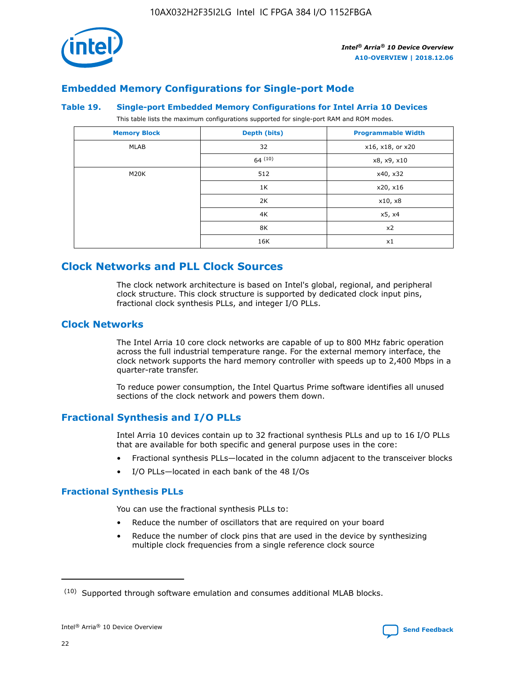

## **Embedded Memory Configurations for Single-port Mode**

#### **Table 19. Single-port Embedded Memory Configurations for Intel Arria 10 Devices**

This table lists the maximum configurations supported for single-port RAM and ROM modes.

| <b>Memory Block</b> | Depth (bits) | <b>Programmable Width</b> |
|---------------------|--------------|---------------------------|
| MLAB                | 32           | x16, x18, or x20          |
|                     | 64(10)       | x8, x9, x10               |
| M20K                | 512          | x40, x32                  |
|                     | 1K           | x20, x16                  |
|                     | 2K           | x10, x8                   |
|                     | 4K           | x5, x4                    |
|                     | 8K           | x2                        |
|                     | 16K          | x1                        |

## **Clock Networks and PLL Clock Sources**

The clock network architecture is based on Intel's global, regional, and peripheral clock structure. This clock structure is supported by dedicated clock input pins, fractional clock synthesis PLLs, and integer I/O PLLs.

#### **Clock Networks**

The Intel Arria 10 core clock networks are capable of up to 800 MHz fabric operation across the full industrial temperature range. For the external memory interface, the clock network supports the hard memory controller with speeds up to 2,400 Mbps in a quarter-rate transfer.

To reduce power consumption, the Intel Quartus Prime software identifies all unused sections of the clock network and powers them down.

#### **Fractional Synthesis and I/O PLLs**

Intel Arria 10 devices contain up to 32 fractional synthesis PLLs and up to 16 I/O PLLs that are available for both specific and general purpose uses in the core:

- Fractional synthesis PLLs—located in the column adjacent to the transceiver blocks
- I/O PLLs—located in each bank of the 48 I/Os

#### **Fractional Synthesis PLLs**

You can use the fractional synthesis PLLs to:

- Reduce the number of oscillators that are required on your board
- Reduce the number of clock pins that are used in the device by synthesizing multiple clock frequencies from a single reference clock source

<sup>(10)</sup> Supported through software emulation and consumes additional MLAB blocks.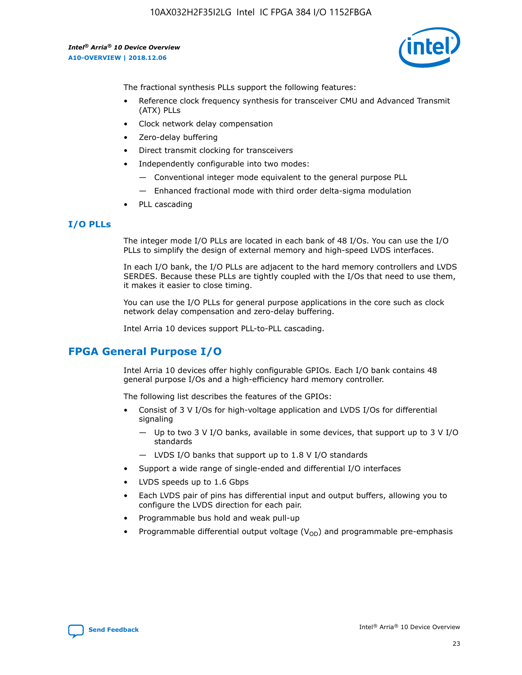

The fractional synthesis PLLs support the following features:

- Reference clock frequency synthesis for transceiver CMU and Advanced Transmit (ATX) PLLs
- Clock network delay compensation
- Zero-delay buffering
- Direct transmit clocking for transceivers
- Independently configurable into two modes:
	- Conventional integer mode equivalent to the general purpose PLL
	- Enhanced fractional mode with third order delta-sigma modulation
- PLL cascading

#### **I/O PLLs**

The integer mode I/O PLLs are located in each bank of 48 I/Os. You can use the I/O PLLs to simplify the design of external memory and high-speed LVDS interfaces.

In each I/O bank, the I/O PLLs are adjacent to the hard memory controllers and LVDS SERDES. Because these PLLs are tightly coupled with the I/Os that need to use them, it makes it easier to close timing.

You can use the I/O PLLs for general purpose applications in the core such as clock network delay compensation and zero-delay buffering.

Intel Arria 10 devices support PLL-to-PLL cascading.

## **FPGA General Purpose I/O**

Intel Arria 10 devices offer highly configurable GPIOs. Each I/O bank contains 48 general purpose I/Os and a high-efficiency hard memory controller.

The following list describes the features of the GPIOs:

- Consist of 3 V I/Os for high-voltage application and LVDS I/Os for differential signaling
	- Up to two 3 V I/O banks, available in some devices, that support up to 3 V I/O standards
	- LVDS I/O banks that support up to 1.8 V I/O standards
- Support a wide range of single-ended and differential I/O interfaces
- LVDS speeds up to 1.6 Gbps
- Each LVDS pair of pins has differential input and output buffers, allowing you to configure the LVDS direction for each pair.
- Programmable bus hold and weak pull-up
- Programmable differential output voltage  $(V_{OD})$  and programmable pre-emphasis

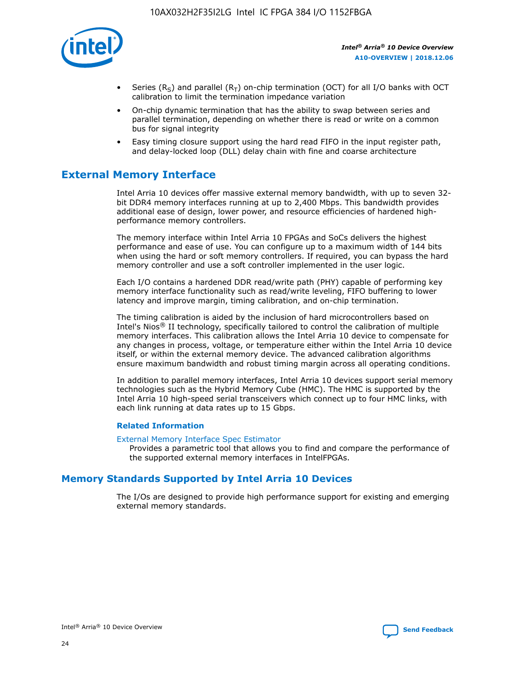

- Series (R<sub>S</sub>) and parallel (R<sub>T</sub>) on-chip termination (OCT) for all I/O banks with OCT calibration to limit the termination impedance variation
- On-chip dynamic termination that has the ability to swap between series and parallel termination, depending on whether there is read or write on a common bus for signal integrity
- Easy timing closure support using the hard read FIFO in the input register path, and delay-locked loop (DLL) delay chain with fine and coarse architecture

## **External Memory Interface**

Intel Arria 10 devices offer massive external memory bandwidth, with up to seven 32 bit DDR4 memory interfaces running at up to 2,400 Mbps. This bandwidth provides additional ease of design, lower power, and resource efficiencies of hardened highperformance memory controllers.

The memory interface within Intel Arria 10 FPGAs and SoCs delivers the highest performance and ease of use. You can configure up to a maximum width of 144 bits when using the hard or soft memory controllers. If required, you can bypass the hard memory controller and use a soft controller implemented in the user logic.

Each I/O contains a hardened DDR read/write path (PHY) capable of performing key memory interface functionality such as read/write leveling, FIFO buffering to lower latency and improve margin, timing calibration, and on-chip termination.

The timing calibration is aided by the inclusion of hard microcontrollers based on Intel's Nios® II technology, specifically tailored to control the calibration of multiple memory interfaces. This calibration allows the Intel Arria 10 device to compensate for any changes in process, voltage, or temperature either within the Intel Arria 10 device itself, or within the external memory device. The advanced calibration algorithms ensure maximum bandwidth and robust timing margin across all operating conditions.

In addition to parallel memory interfaces, Intel Arria 10 devices support serial memory technologies such as the Hybrid Memory Cube (HMC). The HMC is supported by the Intel Arria 10 high-speed serial transceivers which connect up to four HMC links, with each link running at data rates up to 15 Gbps.

#### **Related Information**

#### [External Memory Interface Spec Estimator](http://www.altera.com/technology/memory/estimator/mem-emif-index.html)

Provides a parametric tool that allows you to find and compare the performance of the supported external memory interfaces in IntelFPGAs.

## **Memory Standards Supported by Intel Arria 10 Devices**

The I/Os are designed to provide high performance support for existing and emerging external memory standards.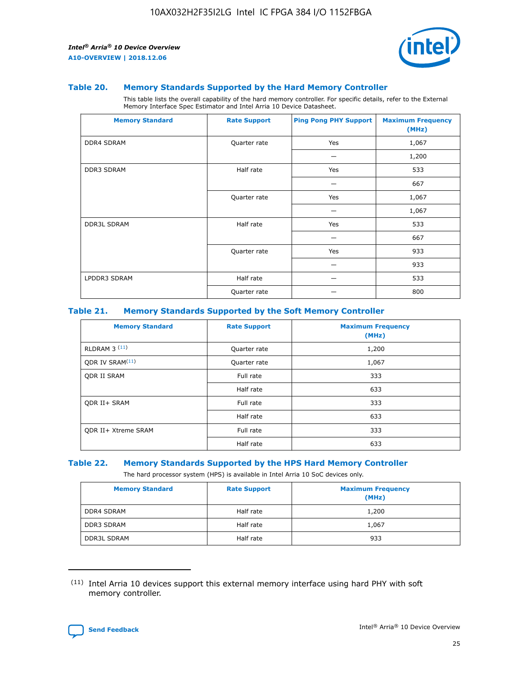

#### **Table 20. Memory Standards Supported by the Hard Memory Controller**

This table lists the overall capability of the hard memory controller. For specific details, refer to the External Memory Interface Spec Estimator and Intel Arria 10 Device Datasheet.

| <b>Memory Standard</b> | <b>Rate Support</b> | <b>Ping Pong PHY Support</b> | <b>Maximum Frequency</b><br>(MHz) |
|------------------------|---------------------|------------------------------|-----------------------------------|
| <b>DDR4 SDRAM</b>      | Quarter rate        | Yes                          | 1,067                             |
|                        |                     |                              | 1,200                             |
| <b>DDR3 SDRAM</b>      | Half rate           | Yes                          | 533                               |
|                        |                     |                              | 667                               |
|                        | Quarter rate        | Yes                          | 1,067                             |
|                        |                     |                              | 1,067                             |
| <b>DDR3L SDRAM</b>     | Half rate           | Yes                          | 533                               |
|                        |                     |                              | 667                               |
|                        | Quarter rate        | Yes                          | 933                               |
|                        |                     |                              | 933                               |
| LPDDR3 SDRAM           | Half rate           |                              | 533                               |
|                        | Quarter rate        |                              | 800                               |

#### **Table 21. Memory Standards Supported by the Soft Memory Controller**

| <b>Memory Standard</b>      | <b>Rate Support</b> | <b>Maximum Frequency</b><br>(MHz) |
|-----------------------------|---------------------|-----------------------------------|
| <b>RLDRAM 3 (11)</b>        | Quarter rate        | 1,200                             |
| ODR IV SRAM <sup>(11)</sup> | Quarter rate        | 1,067                             |
| <b>ODR II SRAM</b>          | Full rate           | 333                               |
|                             | Half rate           | 633                               |
| <b>ODR II+ SRAM</b>         | Full rate           | 333                               |
|                             | Half rate           | 633                               |
| <b>ODR II+ Xtreme SRAM</b>  | Full rate           | 333                               |
|                             | Half rate           | 633                               |

#### **Table 22. Memory Standards Supported by the HPS Hard Memory Controller**

The hard processor system (HPS) is available in Intel Arria 10 SoC devices only.

| <b>Memory Standard</b> | <b>Rate Support</b> | <b>Maximum Frequency</b><br>(MHz) |
|------------------------|---------------------|-----------------------------------|
| <b>DDR4 SDRAM</b>      | Half rate           | 1,200                             |
| <b>DDR3 SDRAM</b>      | Half rate           | 1,067                             |
| <b>DDR3L SDRAM</b>     | Half rate           | 933                               |

<sup>(11)</sup> Intel Arria 10 devices support this external memory interface using hard PHY with soft memory controller.

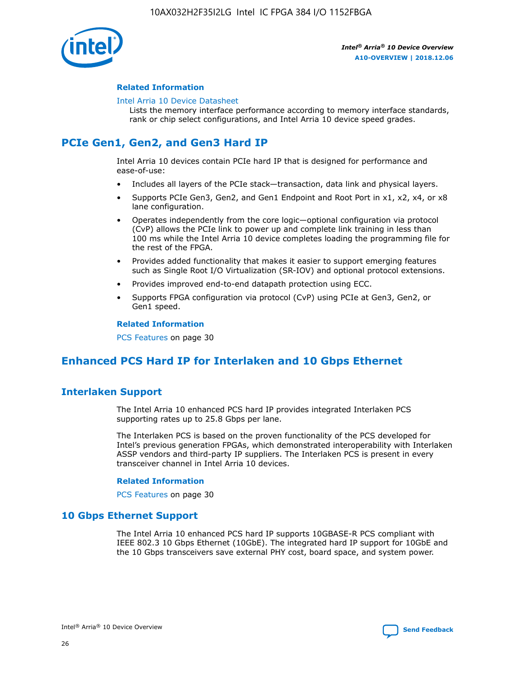

#### **Related Information**

#### [Intel Arria 10 Device Datasheet](https://www.intel.com/content/www/us/en/programmable/documentation/mcn1413182292568.html#mcn1413182153340)

Lists the memory interface performance according to memory interface standards, rank or chip select configurations, and Intel Arria 10 device speed grades.

## **PCIe Gen1, Gen2, and Gen3 Hard IP**

Intel Arria 10 devices contain PCIe hard IP that is designed for performance and ease-of-use:

- Includes all layers of the PCIe stack—transaction, data link and physical layers.
- Supports PCIe Gen3, Gen2, and Gen1 Endpoint and Root Port in x1, x2, x4, or x8 lane configuration.
- Operates independently from the core logic—optional configuration via protocol (CvP) allows the PCIe link to power up and complete link training in less than 100 ms while the Intel Arria 10 device completes loading the programming file for the rest of the FPGA.
- Provides added functionality that makes it easier to support emerging features such as Single Root I/O Virtualization (SR-IOV) and optional protocol extensions.
- Provides improved end-to-end datapath protection using ECC.
- Supports FPGA configuration via protocol (CvP) using PCIe at Gen3, Gen2, or Gen1 speed.

#### **Related Information**

PCS Features on page 30

## **Enhanced PCS Hard IP for Interlaken and 10 Gbps Ethernet**

## **Interlaken Support**

The Intel Arria 10 enhanced PCS hard IP provides integrated Interlaken PCS supporting rates up to 25.8 Gbps per lane.

The Interlaken PCS is based on the proven functionality of the PCS developed for Intel's previous generation FPGAs, which demonstrated interoperability with Interlaken ASSP vendors and third-party IP suppliers. The Interlaken PCS is present in every transceiver channel in Intel Arria 10 devices.

#### **Related Information**

PCS Features on page 30

#### **10 Gbps Ethernet Support**

The Intel Arria 10 enhanced PCS hard IP supports 10GBASE-R PCS compliant with IEEE 802.3 10 Gbps Ethernet (10GbE). The integrated hard IP support for 10GbE and the 10 Gbps transceivers save external PHY cost, board space, and system power.

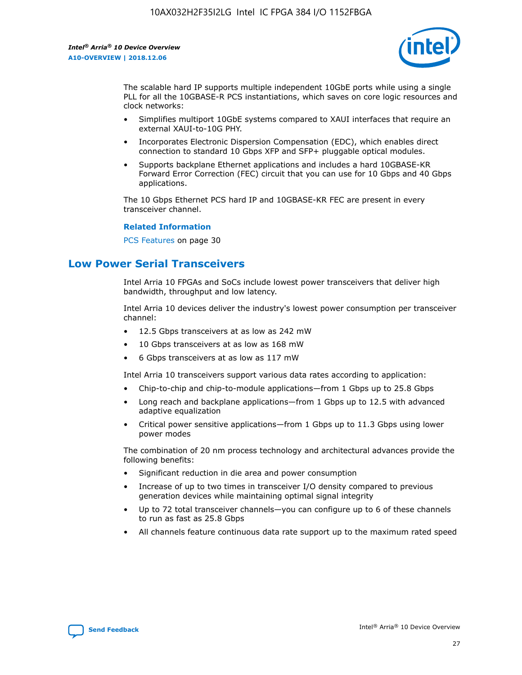

The scalable hard IP supports multiple independent 10GbE ports while using a single PLL for all the 10GBASE-R PCS instantiations, which saves on core logic resources and clock networks:

- Simplifies multiport 10GbE systems compared to XAUI interfaces that require an external XAUI-to-10G PHY.
- Incorporates Electronic Dispersion Compensation (EDC), which enables direct connection to standard 10 Gbps XFP and SFP+ pluggable optical modules.
- Supports backplane Ethernet applications and includes a hard 10GBASE-KR Forward Error Correction (FEC) circuit that you can use for 10 Gbps and 40 Gbps applications.

The 10 Gbps Ethernet PCS hard IP and 10GBASE-KR FEC are present in every transceiver channel.

#### **Related Information**

PCS Features on page 30

## **Low Power Serial Transceivers**

Intel Arria 10 FPGAs and SoCs include lowest power transceivers that deliver high bandwidth, throughput and low latency.

Intel Arria 10 devices deliver the industry's lowest power consumption per transceiver channel:

- 12.5 Gbps transceivers at as low as 242 mW
- 10 Gbps transceivers at as low as 168 mW
- 6 Gbps transceivers at as low as 117 mW

Intel Arria 10 transceivers support various data rates according to application:

- Chip-to-chip and chip-to-module applications—from 1 Gbps up to 25.8 Gbps
- Long reach and backplane applications—from 1 Gbps up to 12.5 with advanced adaptive equalization
- Critical power sensitive applications—from 1 Gbps up to 11.3 Gbps using lower power modes

The combination of 20 nm process technology and architectural advances provide the following benefits:

- Significant reduction in die area and power consumption
- Increase of up to two times in transceiver I/O density compared to previous generation devices while maintaining optimal signal integrity
- Up to 72 total transceiver channels—you can configure up to 6 of these channels to run as fast as 25.8 Gbps
- All channels feature continuous data rate support up to the maximum rated speed

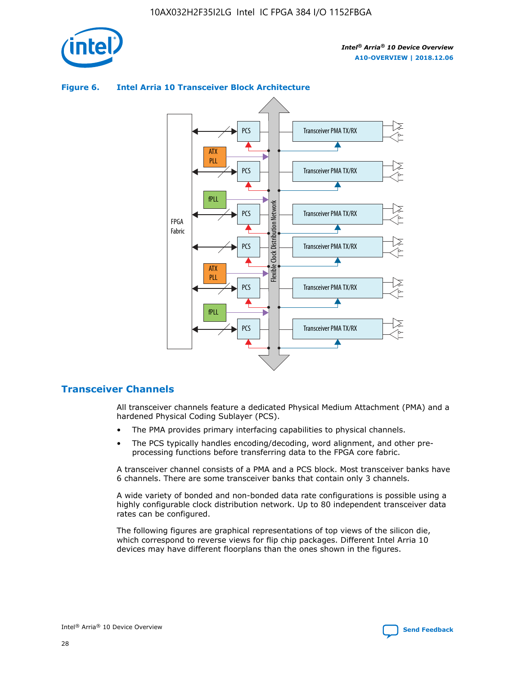

#### Transceiver PMA TX/RX PCS ATX PLL Transceiver PMA TX/RX PCS fPLL Network Flexible Clock Distribution Network PCS Transceiver PMA TX/RX FPGA **Clock Distribution** Fabric PCS Transceiver PMA TX/RX ATX Flexible PLL PCS Transceiver PMA TX/RX ▲ fPLL Transceiver PMA TX/RX PCS 4

#### **Figure 6. Intel Arria 10 Transceiver Block Architecture**

#### **Transceiver Channels**

All transceiver channels feature a dedicated Physical Medium Attachment (PMA) and a hardened Physical Coding Sublayer (PCS).

- The PMA provides primary interfacing capabilities to physical channels.
- The PCS typically handles encoding/decoding, word alignment, and other preprocessing functions before transferring data to the FPGA core fabric.

A transceiver channel consists of a PMA and a PCS block. Most transceiver banks have 6 channels. There are some transceiver banks that contain only 3 channels.

A wide variety of bonded and non-bonded data rate configurations is possible using a highly configurable clock distribution network. Up to 80 independent transceiver data rates can be configured.

The following figures are graphical representations of top views of the silicon die, which correspond to reverse views for flip chip packages. Different Intel Arria 10 devices may have different floorplans than the ones shown in the figures.

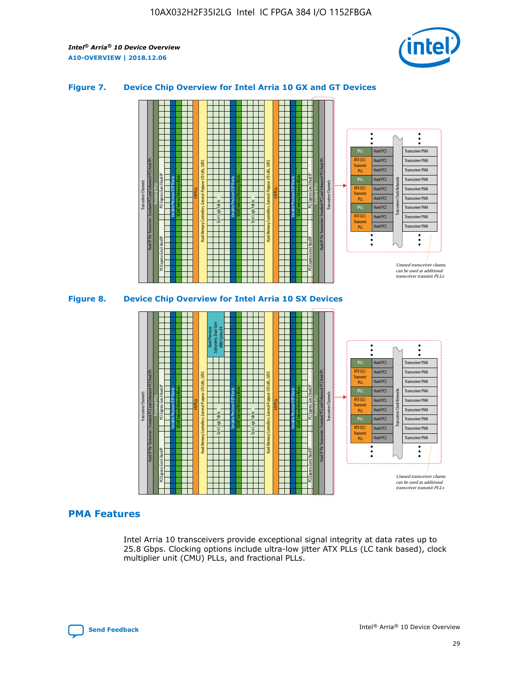

#### **Figure 7. Device Chip Overview for Intel Arria 10 GX and GT Devices**





#### **PMA Features**

Intel Arria 10 transceivers provide exceptional signal integrity at data rates up to 25.8 Gbps. Clocking options include ultra-low jitter ATX PLLs (LC tank based), clock multiplier unit (CMU) PLLs, and fractional PLLs.

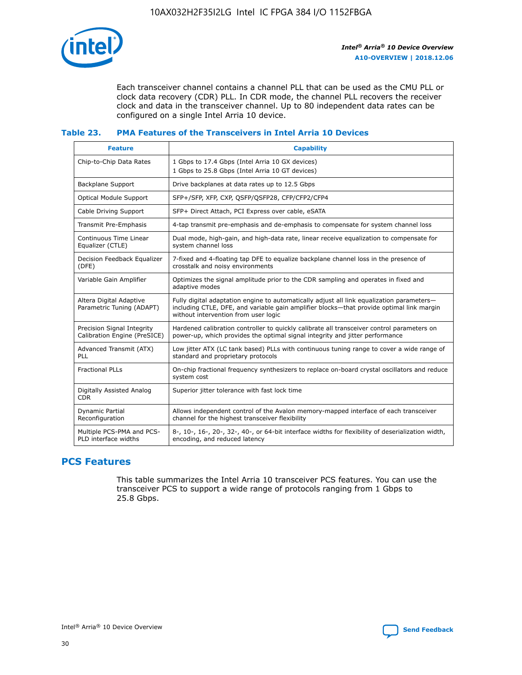

Each transceiver channel contains a channel PLL that can be used as the CMU PLL or clock data recovery (CDR) PLL. In CDR mode, the channel PLL recovers the receiver clock and data in the transceiver channel. Up to 80 independent data rates can be configured on a single Intel Arria 10 device.

#### **Table 23. PMA Features of the Transceivers in Intel Arria 10 Devices**

| <b>Feature</b>                                             | <b>Capability</b>                                                                                                                                                                                                             |
|------------------------------------------------------------|-------------------------------------------------------------------------------------------------------------------------------------------------------------------------------------------------------------------------------|
| Chip-to-Chip Data Rates                                    | 1 Gbps to 17.4 Gbps (Intel Arria 10 GX devices)<br>1 Gbps to 25.8 Gbps (Intel Arria 10 GT devices)                                                                                                                            |
| <b>Backplane Support</b>                                   | Drive backplanes at data rates up to 12.5 Gbps                                                                                                                                                                                |
| Optical Module Support                                     | SFP+/SFP, XFP, CXP, QSFP/QSFP28, CFP/CFP2/CFP4                                                                                                                                                                                |
| Cable Driving Support                                      | SFP+ Direct Attach, PCI Express over cable, eSATA                                                                                                                                                                             |
| Transmit Pre-Emphasis                                      | 4-tap transmit pre-emphasis and de-emphasis to compensate for system channel loss                                                                                                                                             |
| Continuous Time Linear<br>Equalizer (CTLE)                 | Dual mode, high-gain, and high-data rate, linear receive equalization to compensate for<br>system channel loss                                                                                                                |
| Decision Feedback Equalizer<br>(DFE)                       | 7-fixed and 4-floating tap DFE to equalize backplane channel loss in the presence of<br>crosstalk and noisy environments                                                                                                      |
| Variable Gain Amplifier                                    | Optimizes the signal amplitude prior to the CDR sampling and operates in fixed and<br>adaptive modes                                                                                                                          |
| Altera Digital Adaptive<br>Parametric Tuning (ADAPT)       | Fully digital adaptation engine to automatically adjust all link equalization parameters-<br>including CTLE, DFE, and variable gain amplifier blocks—that provide optimal link margin<br>without intervention from user logic |
| Precision Signal Integrity<br>Calibration Engine (PreSICE) | Hardened calibration controller to quickly calibrate all transceiver control parameters on<br>power-up, which provides the optimal signal integrity and jitter performance                                                    |
| Advanced Transmit (ATX)<br>PLL                             | Low jitter ATX (LC tank based) PLLs with continuous tuning range to cover a wide range of<br>standard and proprietary protocols                                                                                               |
| <b>Fractional PLLs</b>                                     | On-chip fractional frequency synthesizers to replace on-board crystal oscillators and reduce<br>system cost                                                                                                                   |
| Digitally Assisted Analog<br><b>CDR</b>                    | Superior jitter tolerance with fast lock time                                                                                                                                                                                 |
| Dynamic Partial<br>Reconfiguration                         | Allows independent control of the Avalon memory-mapped interface of each transceiver<br>channel for the highest transceiver flexibility                                                                                       |
| Multiple PCS-PMA and PCS-<br>PLD interface widths          | 8-, 10-, 16-, 20-, 32-, 40-, or 64-bit interface widths for flexibility of deserialization width,<br>encoding, and reduced latency                                                                                            |

## **PCS Features**

This table summarizes the Intel Arria 10 transceiver PCS features. You can use the transceiver PCS to support a wide range of protocols ranging from 1 Gbps to 25.8 Gbps.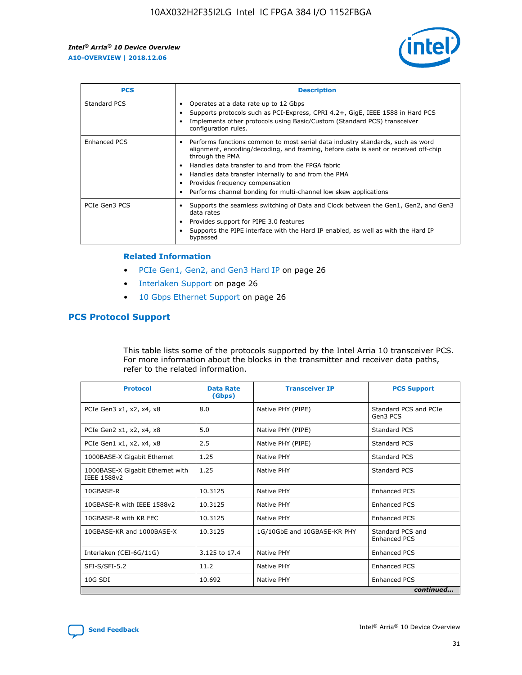

| <b>PCS</b>          | <b>Description</b>                                                                                                                                                                                                                                                                                                                                                                                             |
|---------------------|----------------------------------------------------------------------------------------------------------------------------------------------------------------------------------------------------------------------------------------------------------------------------------------------------------------------------------------------------------------------------------------------------------------|
| Standard PCS        | Operates at a data rate up to 12 Gbps<br>Supports protocols such as PCI-Express, CPRI 4.2+, GigE, IEEE 1588 in Hard PCS<br>Implements other protocols using Basic/Custom (Standard PCS) transceiver<br>configuration rules.                                                                                                                                                                                    |
| <b>Enhanced PCS</b> | Performs functions common to most serial data industry standards, such as word<br>alignment, encoding/decoding, and framing, before data is sent or received off-chip<br>through the PMA<br>• Handles data transfer to and from the FPGA fabric<br>Handles data transfer internally to and from the PMA<br>Provides frequency compensation<br>Performs channel bonding for multi-channel low skew applications |
| PCIe Gen3 PCS       | Supports the seamless switching of Data and Clock between the Gen1, Gen2, and Gen3<br>data rates<br>Provides support for PIPE 3.0 features<br>Supports the PIPE interface with the Hard IP enabled, as well as with the Hard IP<br>bypassed                                                                                                                                                                    |

#### **Related Information**

- PCIe Gen1, Gen2, and Gen3 Hard IP on page 26
- Interlaken Support on page 26
- 10 Gbps Ethernet Support on page 26

#### **PCS Protocol Support**

This table lists some of the protocols supported by the Intel Arria 10 transceiver PCS. For more information about the blocks in the transmitter and receiver data paths, refer to the related information.

| <b>Protocol</b>                                 | <b>Data Rate</b><br>(Gbps) | <b>Transceiver IP</b>       | <b>PCS Support</b>                      |
|-------------------------------------------------|----------------------------|-----------------------------|-----------------------------------------|
| PCIe Gen3 x1, x2, x4, x8                        | 8.0                        | Native PHY (PIPE)           | Standard PCS and PCIe<br>Gen3 PCS       |
| PCIe Gen2 x1, x2, x4, x8                        | 5.0                        | Native PHY (PIPE)           | <b>Standard PCS</b>                     |
| PCIe Gen1 x1, x2, x4, x8                        | 2.5                        | Native PHY (PIPE)           | Standard PCS                            |
| 1000BASE-X Gigabit Ethernet                     | 1.25                       | Native PHY                  | <b>Standard PCS</b>                     |
| 1000BASE-X Gigabit Ethernet with<br>IEEE 1588v2 | 1.25                       | Native PHY                  | Standard PCS                            |
| 10GBASE-R                                       | 10.3125                    | Native PHY                  | <b>Enhanced PCS</b>                     |
| 10GBASE-R with IEEE 1588v2                      | 10.3125                    | Native PHY                  | <b>Enhanced PCS</b>                     |
| 10GBASE-R with KR FEC                           | 10.3125                    | Native PHY                  | <b>Enhanced PCS</b>                     |
| 10GBASE-KR and 1000BASE-X                       | 10.3125                    | 1G/10GbE and 10GBASE-KR PHY | Standard PCS and<br><b>Enhanced PCS</b> |
| Interlaken (CEI-6G/11G)                         | 3.125 to 17.4              | Native PHY                  | <b>Enhanced PCS</b>                     |
| SFI-S/SFI-5.2                                   | 11.2                       | Native PHY                  | <b>Enhanced PCS</b>                     |
| $10G$ SDI                                       | 10.692                     | Native PHY                  | <b>Enhanced PCS</b>                     |
|                                                 |                            |                             | continued                               |

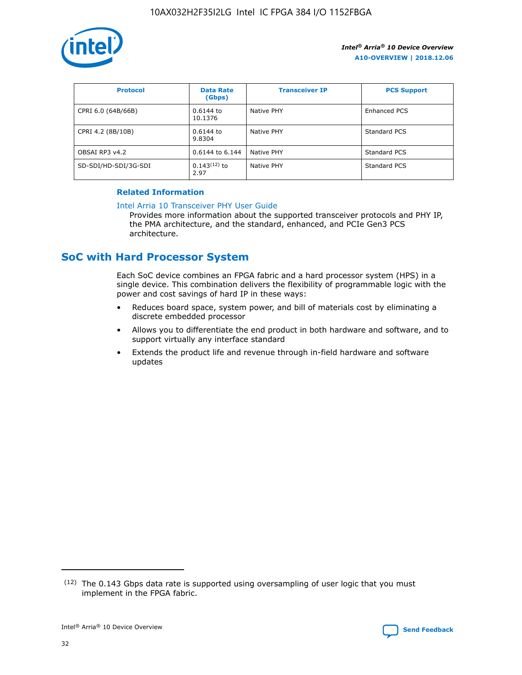

| <b>Protocol</b>      | <b>Data Rate</b><br>(Gbps) | <b>Transceiver IP</b> | <b>PCS Support</b> |
|----------------------|----------------------------|-----------------------|--------------------|
| CPRI 6.0 (64B/66B)   | 0.6144 to<br>10.1376       | Native PHY            | Enhanced PCS       |
| CPRI 4.2 (8B/10B)    | $0.6144$ to<br>9.8304      | Native PHY            | Standard PCS       |
| OBSAI RP3 v4.2       | 0.6144 to 6.144            | Native PHY            | Standard PCS       |
| SD-SDI/HD-SDI/3G-SDI | $0.143(12)$ to<br>2.97     | Native PHY            | Standard PCS       |

#### **Related Information**

#### [Intel Arria 10 Transceiver PHY User Guide](https://www.intel.com/content/www/us/en/programmable/documentation/nik1398707230472.html#nik1398707091164)

Provides more information about the supported transceiver protocols and PHY IP, the PMA architecture, and the standard, enhanced, and PCIe Gen3 PCS architecture.

## **SoC with Hard Processor System**

Each SoC device combines an FPGA fabric and a hard processor system (HPS) in a single device. This combination delivers the flexibility of programmable logic with the power and cost savings of hard IP in these ways:

- Reduces board space, system power, and bill of materials cost by eliminating a discrete embedded processor
- Allows you to differentiate the end product in both hardware and software, and to support virtually any interface standard
- Extends the product life and revenue through in-field hardware and software updates

 $(12)$  The 0.143 Gbps data rate is supported using oversampling of user logic that you must implement in the FPGA fabric.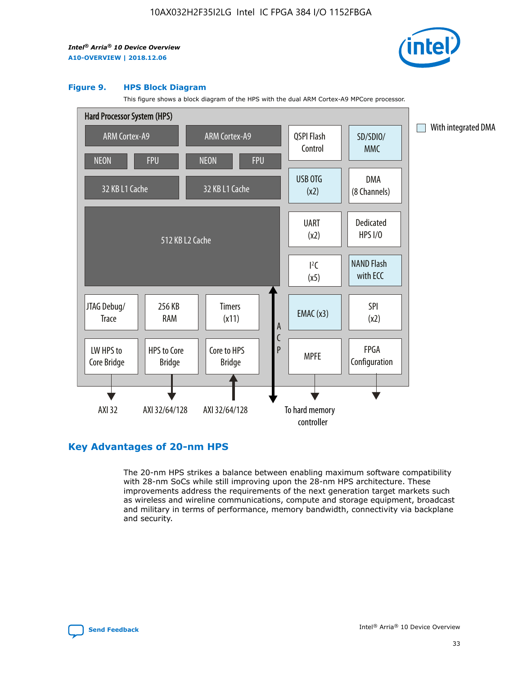

#### **Figure 9. HPS Block Diagram**

This figure shows a block diagram of the HPS with the dual ARM Cortex-A9 MPCore processor.



#### **Key Advantages of 20-nm HPS**

The 20-nm HPS strikes a balance between enabling maximum software compatibility with 28-nm SoCs while still improving upon the 28-nm HPS architecture. These improvements address the requirements of the next generation target markets such as wireless and wireline communications, compute and storage equipment, broadcast and military in terms of performance, memory bandwidth, connectivity via backplane and security.

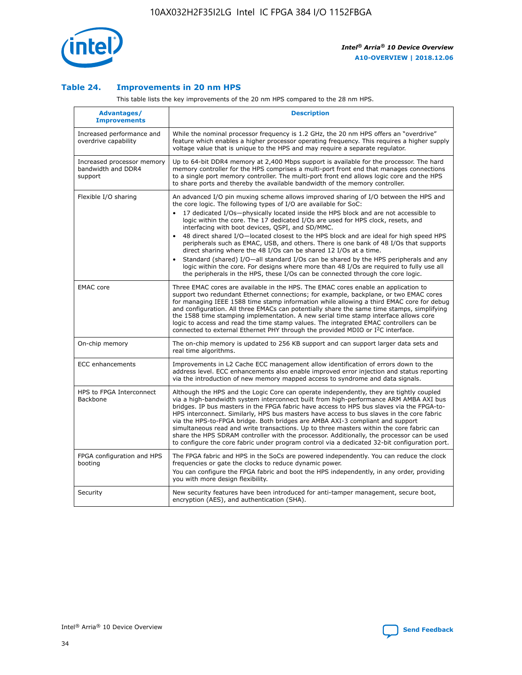

#### **Table 24. Improvements in 20 nm HPS**

This table lists the key improvements of the 20 nm HPS compared to the 28 nm HPS.

| Advantages/<br><b>Improvements</b>                          | <b>Description</b>                                                                                                                                                                                                                                                                                                                                                                                                                                                                                                                                                                                                                                                                                                                                                                                                                                                                                                      |
|-------------------------------------------------------------|-------------------------------------------------------------------------------------------------------------------------------------------------------------------------------------------------------------------------------------------------------------------------------------------------------------------------------------------------------------------------------------------------------------------------------------------------------------------------------------------------------------------------------------------------------------------------------------------------------------------------------------------------------------------------------------------------------------------------------------------------------------------------------------------------------------------------------------------------------------------------------------------------------------------------|
| Increased performance and<br>overdrive capability           | While the nominal processor frequency is 1.2 GHz, the 20 nm HPS offers an "overdrive"<br>feature which enables a higher processor operating frequency. This requires a higher supply<br>voltage value that is unique to the HPS and may require a separate regulator.                                                                                                                                                                                                                                                                                                                                                                                                                                                                                                                                                                                                                                                   |
| Increased processor memory<br>bandwidth and DDR4<br>support | Up to 64-bit DDR4 memory at 2,400 Mbps support is available for the processor. The hard<br>memory controller for the HPS comprises a multi-port front end that manages connections<br>to a single port memory controller. The multi-port front end allows logic core and the HPS<br>to share ports and thereby the available bandwidth of the memory controller.                                                                                                                                                                                                                                                                                                                                                                                                                                                                                                                                                        |
| Flexible I/O sharing                                        | An advanced I/O pin muxing scheme allows improved sharing of I/O between the HPS and<br>the core logic. The following types of I/O are available for SoC:<br>17 dedicated I/Os-physically located inside the HPS block and are not accessible to<br>logic within the core. The 17 dedicated I/Os are used for HPS clock, resets, and<br>interfacing with boot devices, QSPI, and SD/MMC.<br>48 direct shared I/O-located closest to the HPS block and are ideal for high speed HPS<br>peripherals such as EMAC, USB, and others. There is one bank of 48 I/Os that supports<br>direct sharing where the 48 I/Os can be shared 12 I/Os at a time.<br>Standard (shared) I/O-all standard I/Os can be shared by the HPS peripherals and any<br>logic within the core. For designs where more than 48 I/Os are required to fully use all<br>the peripherals in the HPS, these I/Os can be connected through the core logic. |
| <b>EMAC</b> core                                            | Three EMAC cores are available in the HPS. The EMAC cores enable an application to<br>support two redundant Ethernet connections; for example, backplane, or two EMAC cores<br>for managing IEEE 1588 time stamp information while allowing a third EMAC core for debug<br>and configuration. All three EMACs can potentially share the same time stamps, simplifying<br>the 1588 time stamping implementation. A new serial time stamp interface allows core<br>logic to access and read the time stamp values. The integrated EMAC controllers can be<br>connected to external Ethernet PHY through the provided MDIO or I <sup>2</sup> C interface.                                                                                                                                                                                                                                                                  |
| On-chip memory                                              | The on-chip memory is updated to 256 KB support and can support larger data sets and<br>real time algorithms.                                                                                                                                                                                                                                                                                                                                                                                                                                                                                                                                                                                                                                                                                                                                                                                                           |
| <b>ECC</b> enhancements                                     | Improvements in L2 Cache ECC management allow identification of errors down to the<br>address level. ECC enhancements also enable improved error injection and status reporting<br>via the introduction of new memory mapped access to syndrome and data signals.                                                                                                                                                                                                                                                                                                                                                                                                                                                                                                                                                                                                                                                       |
| HPS to FPGA Interconnect<br><b>Backbone</b>                 | Although the HPS and the Logic Core can operate independently, they are tightly coupled<br>via a high-bandwidth system interconnect built from high-performance ARM AMBA AXI bus<br>bridges. IP bus masters in the FPGA fabric have access to HPS bus slaves via the FPGA-to-<br>HPS interconnect. Similarly, HPS bus masters have access to bus slaves in the core fabric<br>via the HPS-to-FPGA bridge. Both bridges are AMBA AXI-3 compliant and support<br>simultaneous read and write transactions. Up to three masters within the core fabric can<br>share the HPS SDRAM controller with the processor. Additionally, the processor can be used<br>to configure the core fabric under program control via a dedicated 32-bit configuration port.                                                                                                                                                                  |
| FPGA configuration and HPS<br>booting                       | The FPGA fabric and HPS in the SoCs are powered independently. You can reduce the clock<br>frequencies or gate the clocks to reduce dynamic power.<br>You can configure the FPGA fabric and boot the HPS independently, in any order, providing<br>you with more design flexibility.                                                                                                                                                                                                                                                                                                                                                                                                                                                                                                                                                                                                                                    |
| Security                                                    | New security features have been introduced for anti-tamper management, secure boot,<br>encryption (AES), and authentication (SHA).                                                                                                                                                                                                                                                                                                                                                                                                                                                                                                                                                                                                                                                                                                                                                                                      |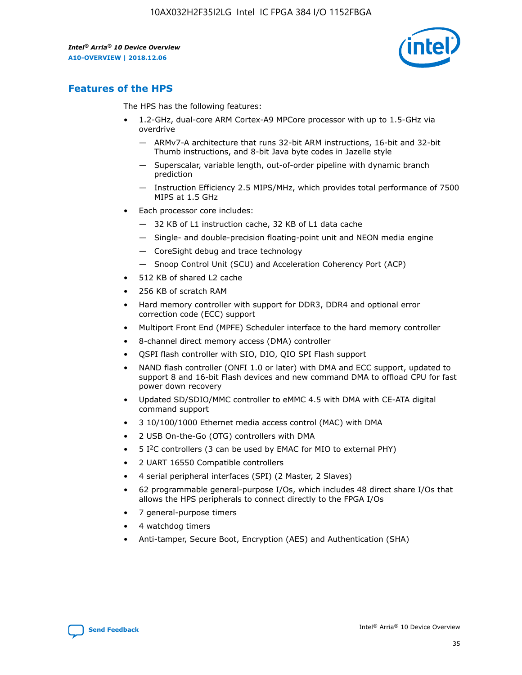

## **Features of the HPS**

The HPS has the following features:

- 1.2-GHz, dual-core ARM Cortex-A9 MPCore processor with up to 1.5-GHz via overdrive
	- ARMv7-A architecture that runs 32-bit ARM instructions, 16-bit and 32-bit Thumb instructions, and 8-bit Java byte codes in Jazelle style
	- Superscalar, variable length, out-of-order pipeline with dynamic branch prediction
	- Instruction Efficiency 2.5 MIPS/MHz, which provides total performance of 7500 MIPS at 1.5 GHz
- Each processor core includes:
	- 32 KB of L1 instruction cache, 32 KB of L1 data cache
	- Single- and double-precision floating-point unit and NEON media engine
	- CoreSight debug and trace technology
	- Snoop Control Unit (SCU) and Acceleration Coherency Port (ACP)
- 512 KB of shared L2 cache
- 256 KB of scratch RAM
- Hard memory controller with support for DDR3, DDR4 and optional error correction code (ECC) support
- Multiport Front End (MPFE) Scheduler interface to the hard memory controller
- 8-channel direct memory access (DMA) controller
- QSPI flash controller with SIO, DIO, QIO SPI Flash support
- NAND flash controller (ONFI 1.0 or later) with DMA and ECC support, updated to support 8 and 16-bit Flash devices and new command DMA to offload CPU for fast power down recovery
- Updated SD/SDIO/MMC controller to eMMC 4.5 with DMA with CE-ATA digital command support
- 3 10/100/1000 Ethernet media access control (MAC) with DMA
- 2 USB On-the-Go (OTG) controllers with DMA
- $\bullet$  5 I<sup>2</sup>C controllers (3 can be used by EMAC for MIO to external PHY)
- 2 UART 16550 Compatible controllers
- 4 serial peripheral interfaces (SPI) (2 Master, 2 Slaves)
- 62 programmable general-purpose I/Os, which includes 48 direct share I/Os that allows the HPS peripherals to connect directly to the FPGA I/Os
- 7 general-purpose timers
- 4 watchdog timers
- Anti-tamper, Secure Boot, Encryption (AES) and Authentication (SHA)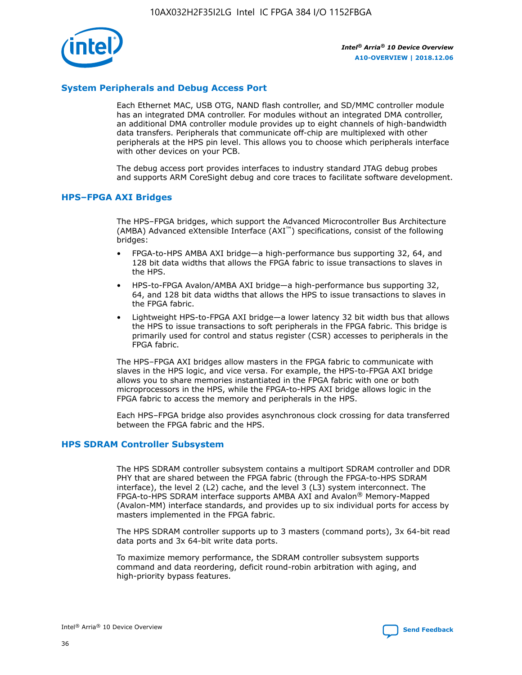

#### **System Peripherals and Debug Access Port**

Each Ethernet MAC, USB OTG, NAND flash controller, and SD/MMC controller module has an integrated DMA controller. For modules without an integrated DMA controller, an additional DMA controller module provides up to eight channels of high-bandwidth data transfers. Peripherals that communicate off-chip are multiplexed with other peripherals at the HPS pin level. This allows you to choose which peripherals interface with other devices on your PCB.

The debug access port provides interfaces to industry standard JTAG debug probes and supports ARM CoreSight debug and core traces to facilitate software development.

#### **HPS–FPGA AXI Bridges**

The HPS–FPGA bridges, which support the Advanced Microcontroller Bus Architecture (AMBA) Advanced eXtensible Interface (AXI™) specifications, consist of the following bridges:

- FPGA-to-HPS AMBA AXI bridge—a high-performance bus supporting 32, 64, and 128 bit data widths that allows the FPGA fabric to issue transactions to slaves in the HPS.
- HPS-to-FPGA Avalon/AMBA AXI bridge—a high-performance bus supporting 32, 64, and 128 bit data widths that allows the HPS to issue transactions to slaves in the FPGA fabric.
- Lightweight HPS-to-FPGA AXI bridge—a lower latency 32 bit width bus that allows the HPS to issue transactions to soft peripherals in the FPGA fabric. This bridge is primarily used for control and status register (CSR) accesses to peripherals in the FPGA fabric.

The HPS–FPGA AXI bridges allow masters in the FPGA fabric to communicate with slaves in the HPS logic, and vice versa. For example, the HPS-to-FPGA AXI bridge allows you to share memories instantiated in the FPGA fabric with one or both microprocessors in the HPS, while the FPGA-to-HPS AXI bridge allows logic in the FPGA fabric to access the memory and peripherals in the HPS.

Each HPS–FPGA bridge also provides asynchronous clock crossing for data transferred between the FPGA fabric and the HPS.

#### **HPS SDRAM Controller Subsystem**

The HPS SDRAM controller subsystem contains a multiport SDRAM controller and DDR PHY that are shared between the FPGA fabric (through the FPGA-to-HPS SDRAM interface), the level 2 (L2) cache, and the level 3 (L3) system interconnect. The FPGA-to-HPS SDRAM interface supports AMBA AXI and Avalon® Memory-Mapped (Avalon-MM) interface standards, and provides up to six individual ports for access by masters implemented in the FPGA fabric.

The HPS SDRAM controller supports up to 3 masters (command ports), 3x 64-bit read data ports and 3x 64-bit write data ports.

To maximize memory performance, the SDRAM controller subsystem supports command and data reordering, deficit round-robin arbitration with aging, and high-priority bypass features.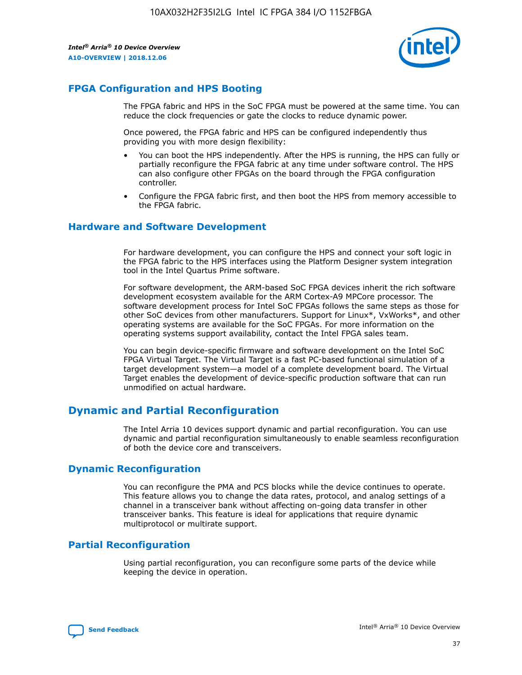

## **FPGA Configuration and HPS Booting**

The FPGA fabric and HPS in the SoC FPGA must be powered at the same time. You can reduce the clock frequencies or gate the clocks to reduce dynamic power.

Once powered, the FPGA fabric and HPS can be configured independently thus providing you with more design flexibility:

- You can boot the HPS independently. After the HPS is running, the HPS can fully or partially reconfigure the FPGA fabric at any time under software control. The HPS can also configure other FPGAs on the board through the FPGA configuration controller.
- Configure the FPGA fabric first, and then boot the HPS from memory accessible to the FPGA fabric.

#### **Hardware and Software Development**

For hardware development, you can configure the HPS and connect your soft logic in the FPGA fabric to the HPS interfaces using the Platform Designer system integration tool in the Intel Quartus Prime software.

For software development, the ARM-based SoC FPGA devices inherit the rich software development ecosystem available for the ARM Cortex-A9 MPCore processor. The software development process for Intel SoC FPGAs follows the same steps as those for other SoC devices from other manufacturers. Support for Linux\*, VxWorks\*, and other operating systems are available for the SoC FPGAs. For more information on the operating systems support availability, contact the Intel FPGA sales team.

You can begin device-specific firmware and software development on the Intel SoC FPGA Virtual Target. The Virtual Target is a fast PC-based functional simulation of a target development system—a model of a complete development board. The Virtual Target enables the development of device-specific production software that can run unmodified on actual hardware.

## **Dynamic and Partial Reconfiguration**

The Intel Arria 10 devices support dynamic and partial reconfiguration. You can use dynamic and partial reconfiguration simultaneously to enable seamless reconfiguration of both the device core and transceivers.

#### **Dynamic Reconfiguration**

You can reconfigure the PMA and PCS blocks while the device continues to operate. This feature allows you to change the data rates, protocol, and analog settings of a channel in a transceiver bank without affecting on-going data transfer in other transceiver banks. This feature is ideal for applications that require dynamic multiprotocol or multirate support.

## **Partial Reconfiguration**

Using partial reconfiguration, you can reconfigure some parts of the device while keeping the device in operation.

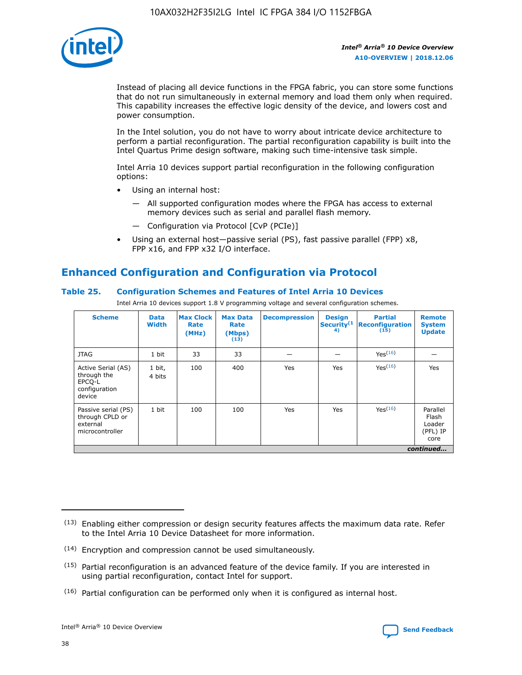

Instead of placing all device functions in the FPGA fabric, you can store some functions that do not run simultaneously in external memory and load them only when required. This capability increases the effective logic density of the device, and lowers cost and power consumption.

In the Intel solution, you do not have to worry about intricate device architecture to perform a partial reconfiguration. The partial reconfiguration capability is built into the Intel Quartus Prime design software, making such time-intensive task simple.

Intel Arria 10 devices support partial reconfiguration in the following configuration options:

- Using an internal host:
	- All supported configuration modes where the FPGA has access to external memory devices such as serial and parallel flash memory.
	- Configuration via Protocol [CvP (PCIe)]
- Using an external host—passive serial (PS), fast passive parallel (FPP) x8, FPP x16, and FPP x32 I/O interface.

## **Enhanced Configuration and Configuration via Protocol**

#### **Table 25. Configuration Schemes and Features of Intel Arria 10 Devices**

Intel Arria 10 devices support 1.8 V programming voltage and several configuration schemes.

| <b>Scheme</b>                                                          | <b>Data</b><br><b>Width</b> | <b>Max Clock</b><br>Rate<br>(MHz) | <b>Max Data</b><br>Rate<br>(Mbps)<br>(13) | <b>Decompression</b> | <b>Design</b><br>Security <sup>(1</sup><br>4) | <b>Partial</b><br><b>Reconfiguration</b><br>(15) | <b>Remote</b><br><b>System</b><br><b>Update</b> |
|------------------------------------------------------------------------|-----------------------------|-----------------------------------|-------------------------------------------|----------------------|-----------------------------------------------|--------------------------------------------------|-------------------------------------------------|
| <b>JTAG</b>                                                            | 1 bit                       | 33                                | 33                                        |                      |                                               | Yes <sup>(16)</sup>                              |                                                 |
| Active Serial (AS)<br>through the<br>EPCO-L<br>configuration<br>device | 1 bit,<br>4 bits            | 100                               | 400                                       | Yes                  | Yes                                           | $Y_{PS}(16)$                                     | Yes                                             |
| Passive serial (PS)<br>through CPLD or<br>external<br>microcontroller  | 1 bit                       | 100                               | 100                                       | Yes                  | Yes                                           | Yes(16)                                          | Parallel<br>Flash<br>Loader<br>(PFL) IP<br>core |
|                                                                        |                             |                                   |                                           |                      |                                               |                                                  | continued                                       |

<sup>(13)</sup> Enabling either compression or design security features affects the maximum data rate. Refer to the Intel Arria 10 Device Datasheet for more information.

<sup>(14)</sup> Encryption and compression cannot be used simultaneously.

 $<sup>(15)</sup>$  Partial reconfiguration is an advanced feature of the device family. If you are interested in</sup> using partial reconfiguration, contact Intel for support.

 $(16)$  Partial configuration can be performed only when it is configured as internal host.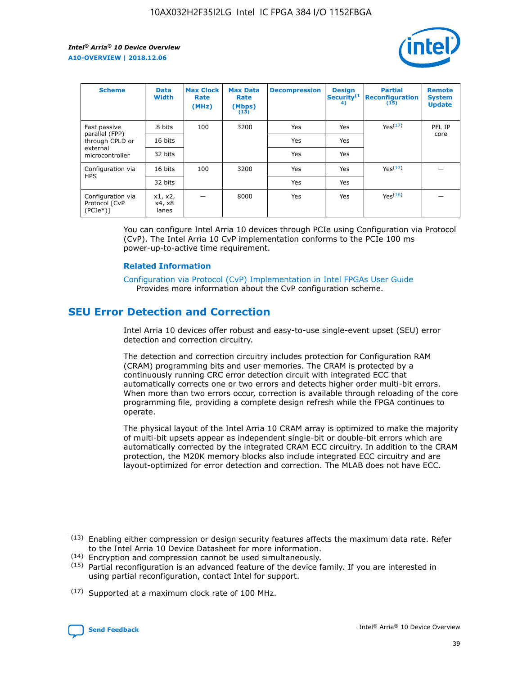

| <b>Scheme</b>                                   | <b>Data</b><br><b>Width</b> | <b>Max Clock</b><br>Rate<br>(MHz) | <b>Max Data</b><br>Rate<br>(Mbps)<br>(13) | <b>Decompression</b> | <b>Design</b><br>Security <sup>(1</sup><br>4) | <b>Partial</b><br><b>Reconfiguration</b><br>(15) | <b>Remote</b><br><b>System</b><br><b>Update</b> |
|-------------------------------------------------|-----------------------------|-----------------------------------|-------------------------------------------|----------------------|-----------------------------------------------|--------------------------------------------------|-------------------------------------------------|
| Fast passive                                    | 8 bits                      | 100                               | 3200                                      | Yes                  | Yes                                           | Yes(17)                                          | PFL IP                                          |
| parallel (FPP)<br>through CPLD or               | 16 bits                     |                                   |                                           | Yes                  | Yes                                           |                                                  | core                                            |
| external<br>microcontroller                     | 32 bits                     |                                   |                                           | Yes                  | Yes                                           |                                                  |                                                 |
| Configuration via                               | 16 bits                     | 100                               | 3200                                      | Yes                  | Yes                                           | Yes <sup>(17)</sup>                              |                                                 |
| <b>HPS</b>                                      | 32 bits                     |                                   |                                           | Yes                  | Yes                                           |                                                  |                                                 |
| Configuration via<br>Protocol [CvP<br>$(PCIe*)$ | x1, x2,<br>x4, x8<br>lanes  |                                   | 8000                                      | Yes                  | Yes                                           | Yes(16)                                          |                                                 |

You can configure Intel Arria 10 devices through PCIe using Configuration via Protocol (CvP). The Intel Arria 10 CvP implementation conforms to the PCIe 100 ms power-up-to-active time requirement.

#### **Related Information**

[Configuration via Protocol \(CvP\) Implementation in Intel FPGAs User Guide](https://www.intel.com/content/www/us/en/programmable/documentation/dsu1441819344145.html#dsu1442269728522) Provides more information about the CvP configuration scheme.

## **SEU Error Detection and Correction**

Intel Arria 10 devices offer robust and easy-to-use single-event upset (SEU) error detection and correction circuitry.

The detection and correction circuitry includes protection for Configuration RAM (CRAM) programming bits and user memories. The CRAM is protected by a continuously running CRC error detection circuit with integrated ECC that automatically corrects one or two errors and detects higher order multi-bit errors. When more than two errors occur, correction is available through reloading of the core programming file, providing a complete design refresh while the FPGA continues to operate.

The physical layout of the Intel Arria 10 CRAM array is optimized to make the majority of multi-bit upsets appear as independent single-bit or double-bit errors which are automatically corrected by the integrated CRAM ECC circuitry. In addition to the CRAM protection, the M20K memory blocks also include integrated ECC circuitry and are layout-optimized for error detection and correction. The MLAB does not have ECC.

(14) Encryption and compression cannot be used simultaneously.

<sup>(17)</sup> Supported at a maximum clock rate of 100 MHz.



 $(13)$  Enabling either compression or design security features affects the maximum data rate. Refer to the Intel Arria 10 Device Datasheet for more information.

 $(15)$  Partial reconfiguration is an advanced feature of the device family. If you are interested in using partial reconfiguration, contact Intel for support.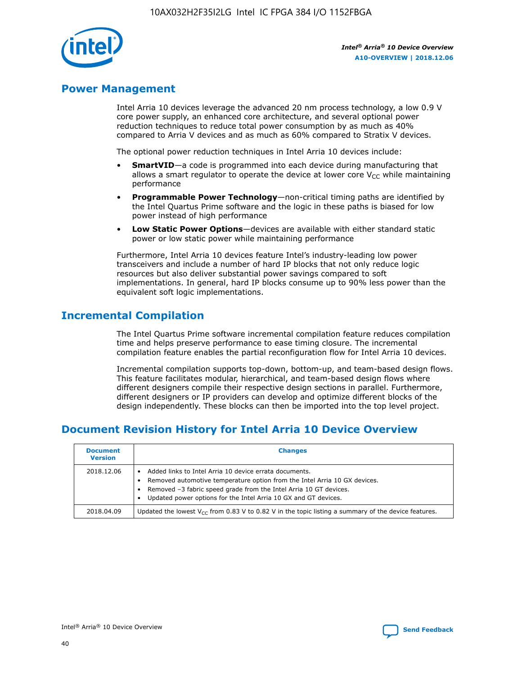

## **Power Management**

Intel Arria 10 devices leverage the advanced 20 nm process technology, a low 0.9 V core power supply, an enhanced core architecture, and several optional power reduction techniques to reduce total power consumption by as much as 40% compared to Arria V devices and as much as 60% compared to Stratix V devices.

The optional power reduction techniques in Intel Arria 10 devices include:

- **SmartVID**—a code is programmed into each device during manufacturing that allows a smart regulator to operate the device at lower core  $V_{CC}$  while maintaining performance
- **Programmable Power Technology**—non-critical timing paths are identified by the Intel Quartus Prime software and the logic in these paths is biased for low power instead of high performance
- **Low Static Power Options**—devices are available with either standard static power or low static power while maintaining performance

Furthermore, Intel Arria 10 devices feature Intel's industry-leading low power transceivers and include a number of hard IP blocks that not only reduce logic resources but also deliver substantial power savings compared to soft implementations. In general, hard IP blocks consume up to 90% less power than the equivalent soft logic implementations.

## **Incremental Compilation**

The Intel Quartus Prime software incremental compilation feature reduces compilation time and helps preserve performance to ease timing closure. The incremental compilation feature enables the partial reconfiguration flow for Intel Arria 10 devices.

Incremental compilation supports top-down, bottom-up, and team-based design flows. This feature facilitates modular, hierarchical, and team-based design flows where different designers compile their respective design sections in parallel. Furthermore, different designers or IP providers can develop and optimize different blocks of the design independently. These blocks can then be imported into the top level project.

## **Document Revision History for Intel Arria 10 Device Overview**

| <b>Document</b><br><b>Version</b> | <b>Changes</b>                                                                                                                                                                                                                                                              |
|-----------------------------------|-----------------------------------------------------------------------------------------------------------------------------------------------------------------------------------------------------------------------------------------------------------------------------|
| 2018.12.06                        | Added links to Intel Arria 10 device errata documents.<br>Removed automotive temperature option from the Intel Arria 10 GX devices.<br>Removed -3 fabric speed grade from the Intel Arria 10 GT devices.<br>Updated power options for the Intel Arria 10 GX and GT devices. |
| 2018.04.09                        | Updated the lowest $V_{CC}$ from 0.83 V to 0.82 V in the topic listing a summary of the device features.                                                                                                                                                                    |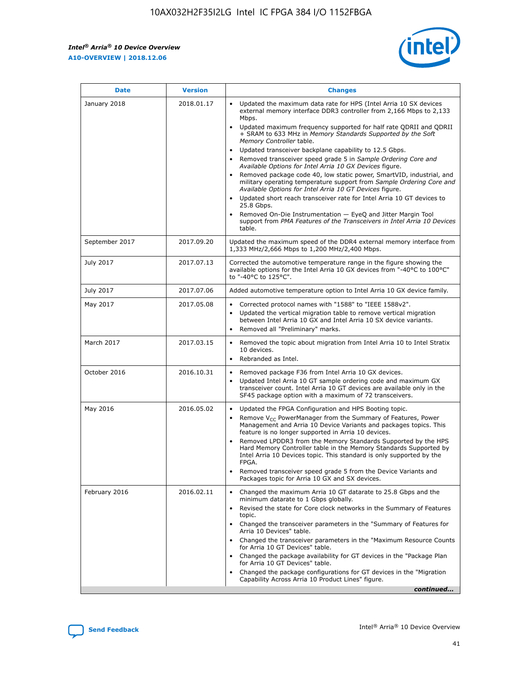*Intel® Arria® 10 Device Overview* **A10-OVERVIEW | 2018.12.06**



| <b>Date</b>    | <b>Version</b> | <b>Changes</b>                                                                                                                                                                                                                                                                                                                                                                                                                                                                                                                                                                                                                                                                                                                                                                                                                                                                                                                                                            |
|----------------|----------------|---------------------------------------------------------------------------------------------------------------------------------------------------------------------------------------------------------------------------------------------------------------------------------------------------------------------------------------------------------------------------------------------------------------------------------------------------------------------------------------------------------------------------------------------------------------------------------------------------------------------------------------------------------------------------------------------------------------------------------------------------------------------------------------------------------------------------------------------------------------------------------------------------------------------------------------------------------------------------|
| January 2018   | 2018.01.17     | Updated the maximum data rate for HPS (Intel Arria 10 SX devices<br>external memory interface DDR3 controller from 2,166 Mbps to 2,133<br>Mbps.<br>Updated maximum frequency supported for half rate QDRII and QDRII<br>+ SRAM to 633 MHz in Memory Standards Supported by the Soft<br>Memory Controller table.<br>Updated transceiver backplane capability to 12.5 Gbps.<br>$\bullet$<br>Removed transceiver speed grade 5 in Sample Ordering Core and<br>Available Options for Intel Arria 10 GX Devices figure.<br>Removed package code 40, low static power, SmartVID, industrial, and<br>military operating temperature support from Sample Ordering Core and<br>Available Options for Intel Arria 10 GT Devices figure.<br>Updated short reach transceiver rate for Intel Arria 10 GT devices to<br>25.8 Gbps.<br>Removed On-Die Instrumentation - EyeQ and Jitter Margin Tool<br>support from PMA Features of the Transceivers in Intel Arria 10 Devices<br>table. |
| September 2017 | 2017.09.20     | Updated the maximum speed of the DDR4 external memory interface from<br>1,333 MHz/2,666 Mbps to 1,200 MHz/2,400 Mbps.                                                                                                                                                                                                                                                                                                                                                                                                                                                                                                                                                                                                                                                                                                                                                                                                                                                     |
| July 2017      | 2017.07.13     | Corrected the automotive temperature range in the figure showing the<br>available options for the Intel Arria 10 GX devices from "-40°C to 100°C"<br>to "-40°C to 125°C".                                                                                                                                                                                                                                                                                                                                                                                                                                                                                                                                                                                                                                                                                                                                                                                                 |
| July 2017      | 2017.07.06     | Added automotive temperature option to Intel Arria 10 GX device family.                                                                                                                                                                                                                                                                                                                                                                                                                                                                                                                                                                                                                                                                                                                                                                                                                                                                                                   |
| May 2017       | 2017.05.08     | Corrected protocol names with "1588" to "IEEE 1588v2".<br>$\bullet$<br>Updated the vertical migration table to remove vertical migration<br>$\bullet$<br>between Intel Arria 10 GX and Intel Arria 10 SX device variants.<br>Removed all "Preliminary" marks.<br>$\bullet$                                                                                                                                                                                                                                                                                                                                                                                                                                                                                                                                                                                                                                                                                                |
| March 2017     | 2017.03.15     | Removed the topic about migration from Intel Arria 10 to Intel Stratix<br>10 devices.<br>Rebranded as Intel.<br>$\bullet$                                                                                                                                                                                                                                                                                                                                                                                                                                                                                                                                                                                                                                                                                                                                                                                                                                                 |
| October 2016   | 2016.10.31     | Removed package F36 from Intel Arria 10 GX devices.<br>Updated Intel Arria 10 GT sample ordering code and maximum GX<br>$\bullet$<br>transceiver count. Intel Arria 10 GT devices are available only in the<br>SF45 package option with a maximum of 72 transceivers.                                                                                                                                                                                                                                                                                                                                                                                                                                                                                                                                                                                                                                                                                                     |
| May 2016       | 2016.05.02     | Updated the FPGA Configuration and HPS Booting topic.<br>$\bullet$<br>Remove V <sub>CC</sub> PowerManager from the Summary of Features, Power<br>Management and Arria 10 Device Variants and packages topics. This<br>feature is no longer supported in Arria 10 devices.<br>Removed LPDDR3 from the Memory Standards Supported by the HPS<br>Hard Memory Controller table in the Memory Standards Supported by<br>Intel Arria 10 Devices topic. This standard is only supported by the<br>FPGA.<br>Removed transceiver speed grade 5 from the Device Variants and<br>Packages topic for Arria 10 GX and SX devices.                                                                                                                                                                                                                                                                                                                                                      |
| February 2016  | 2016.02.11     | Changed the maximum Arria 10 GT datarate to 25.8 Gbps and the<br>minimum datarate to 1 Gbps globally.<br>Revised the state for Core clock networks in the Summary of Features<br>$\bullet$<br>topic.<br>Changed the transceiver parameters in the "Summary of Features for<br>$\bullet$<br>Arria 10 Devices" table.<br>• Changed the transceiver parameters in the "Maximum Resource Counts<br>for Arria 10 GT Devices" table.<br>Changed the package availability for GT devices in the "Package Plan<br>for Arria 10 GT Devices" table.<br>Changed the package configurations for GT devices in the "Migration"<br>Capability Across Arria 10 Product Lines" figure.<br>continued                                                                                                                                                                                                                                                                                       |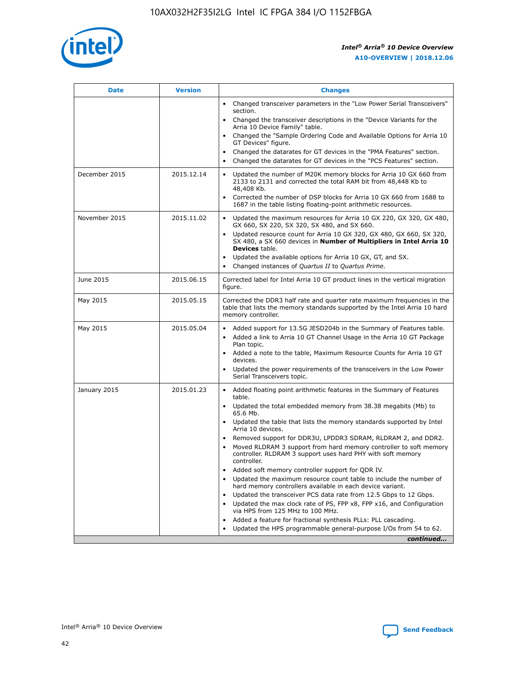

| <b>Date</b>   | <b>Version</b> | <b>Changes</b>                                                                                                                                                               |
|---------------|----------------|------------------------------------------------------------------------------------------------------------------------------------------------------------------------------|
|               |                | • Changed transceiver parameters in the "Low Power Serial Transceivers"<br>section.                                                                                          |
|               |                | • Changed the transceiver descriptions in the "Device Variants for the<br>Arria 10 Device Family" table.                                                                     |
|               |                | Changed the "Sample Ordering Code and Available Options for Arria 10<br>$\bullet$<br>GT Devices" figure.                                                                     |
|               |                | Changed the datarates for GT devices in the "PMA Features" section.                                                                                                          |
|               |                | Changed the datarates for GT devices in the "PCS Features" section.<br>$\bullet$                                                                                             |
| December 2015 | 2015.12.14     | Updated the number of M20K memory blocks for Arria 10 GX 660 from<br>2133 to 2131 and corrected the total RAM bit from 48,448 Kb to<br>48,408 Kb.                            |
|               |                | Corrected the number of DSP blocks for Arria 10 GX 660 from 1688 to<br>1687 in the table listing floating-point arithmetic resources.                                        |
| November 2015 | 2015.11.02     | Updated the maximum resources for Arria 10 GX 220, GX 320, GX 480,<br>$\bullet$<br>GX 660, SX 220, SX 320, SX 480, and SX 660.                                               |
|               |                | • Updated resource count for Arria 10 GX 320, GX 480, GX 660, SX 320,<br>SX 480, a SX 660 devices in Number of Multipliers in Intel Arria 10<br><b>Devices</b> table.        |
|               |                | Updated the available options for Arria 10 GX, GT, and SX.                                                                                                                   |
|               |                | Changed instances of Quartus II to Quartus Prime.<br>$\bullet$                                                                                                               |
| June 2015     | 2015.06.15     | Corrected label for Intel Arria 10 GT product lines in the vertical migration<br>figure.                                                                                     |
| May 2015      | 2015.05.15     | Corrected the DDR3 half rate and quarter rate maximum frequencies in the<br>table that lists the memory standards supported by the Intel Arria 10 hard<br>memory controller. |
| May 2015      | 2015.05.04     | • Added support for 13.5G JESD204b in the Summary of Features table.                                                                                                         |
|               |                | • Added a link to Arria 10 GT Channel Usage in the Arria 10 GT Package<br>Plan topic.                                                                                        |
|               |                | • Added a note to the table, Maximum Resource Counts for Arria 10 GT<br>devices.                                                                                             |
|               |                | • Updated the power requirements of the transceivers in the Low Power<br>Serial Transceivers topic.                                                                          |
| January 2015  | 2015.01.23     | • Added floating point arithmetic features in the Summary of Features<br>table.                                                                                              |
|               |                | • Updated the total embedded memory from 38.38 megabits (Mb) to<br>65.6 Mb.                                                                                                  |
|               |                | • Updated the table that lists the memory standards supported by Intel<br>Arria 10 devices.                                                                                  |
|               |                | Removed support for DDR3U, LPDDR3 SDRAM, RLDRAM 2, and DDR2.                                                                                                                 |
|               |                | Moved RLDRAM 3 support from hard memory controller to soft memory<br>controller. RLDRAM 3 support uses hard PHY with soft memory<br>controller.                              |
|               |                | Added soft memory controller support for QDR IV.<br>٠                                                                                                                        |
|               |                | Updated the maximum resource count table to include the number of<br>hard memory controllers available in each device variant.                                               |
|               |                | Updated the transceiver PCS data rate from 12.5 Gbps to 12 Gbps.<br>$\bullet$                                                                                                |
|               |                | Updated the max clock rate of PS, FPP x8, FPP x16, and Configuration<br>via HPS from 125 MHz to 100 MHz.                                                                     |
|               |                | Added a feature for fractional synthesis PLLs: PLL cascading.                                                                                                                |
|               |                | Updated the HPS programmable general-purpose I/Os from 54 to 62.<br>$\bullet$                                                                                                |
|               |                | continued                                                                                                                                                                    |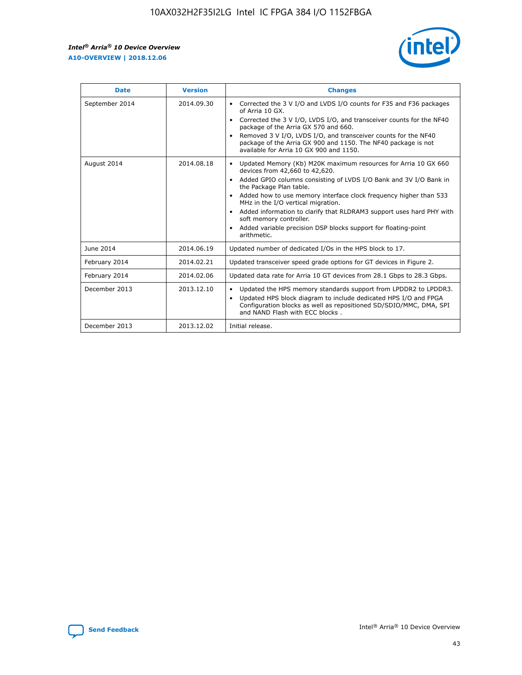r



| <b>Date</b>    | <b>Version</b> | <b>Changes</b>                                                                                                                                                                                                                                                                                                                                                                                                                                                                                                                         |
|----------------|----------------|----------------------------------------------------------------------------------------------------------------------------------------------------------------------------------------------------------------------------------------------------------------------------------------------------------------------------------------------------------------------------------------------------------------------------------------------------------------------------------------------------------------------------------------|
| September 2014 | 2014.09.30     | Corrected the 3 V I/O and LVDS I/O counts for F35 and F36 packages<br>of Arria 10 GX.<br>Corrected the 3 V I/O, LVDS I/O, and transceiver counts for the NF40<br>$\bullet$<br>package of the Arria GX 570 and 660.<br>Removed 3 V I/O, LVDS I/O, and transceiver counts for the NF40<br>package of the Arria GX 900 and 1150. The NF40 package is not<br>available for Arria 10 GX 900 and 1150.                                                                                                                                       |
| August 2014    | 2014.08.18     | Updated Memory (Kb) M20K maximum resources for Arria 10 GX 660<br>devices from 42,660 to 42,620.<br>Added GPIO columns consisting of LVDS I/O Bank and 3V I/O Bank in<br>$\bullet$<br>the Package Plan table.<br>Added how to use memory interface clock frequency higher than 533<br>$\bullet$<br>MHz in the I/O vertical migration.<br>Added information to clarify that RLDRAM3 support uses hard PHY with<br>$\bullet$<br>soft memory controller.<br>Added variable precision DSP blocks support for floating-point<br>arithmetic. |
| June 2014      | 2014.06.19     | Updated number of dedicated I/Os in the HPS block to 17.                                                                                                                                                                                                                                                                                                                                                                                                                                                                               |
| February 2014  | 2014.02.21     | Updated transceiver speed grade options for GT devices in Figure 2.                                                                                                                                                                                                                                                                                                                                                                                                                                                                    |
| February 2014  | 2014.02.06     | Updated data rate for Arria 10 GT devices from 28.1 Gbps to 28.3 Gbps.                                                                                                                                                                                                                                                                                                                                                                                                                                                                 |
| December 2013  | 2013.12.10     | Updated the HPS memory standards support from LPDDR2 to LPDDR3.<br>Updated HPS block diagram to include dedicated HPS I/O and FPGA<br>$\bullet$<br>Configuration blocks as well as repositioned SD/SDIO/MMC, DMA, SPI<br>and NAND Flash with ECC blocks.                                                                                                                                                                                                                                                                               |
| December 2013  | 2013.12.02     | Initial release.                                                                                                                                                                                                                                                                                                                                                                                                                                                                                                                       |